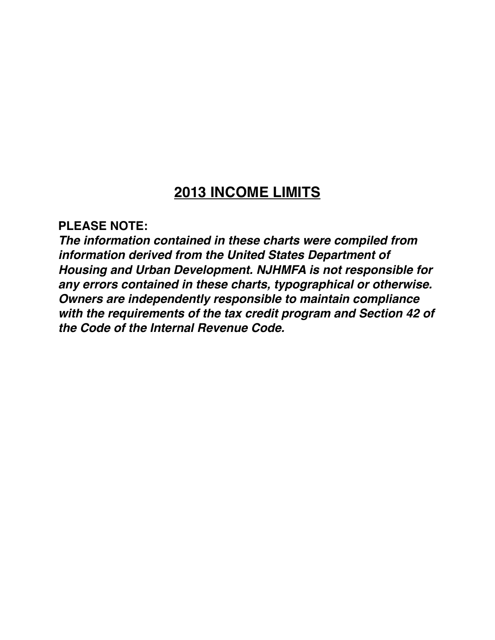# **2013 INCOME LIMITS**

### **PLEASE NOTE:**

*The information contained in these charts were compiled from information derived from the United States Department of Housing and Urban Development. NJHMFA is not responsible for any errors contained in these charts, typographical or otherwise. Owners are independently responsible to maintain compliance with the requirements of the tax credit program and Section 42 of the Code of the Internal Revenue Code.*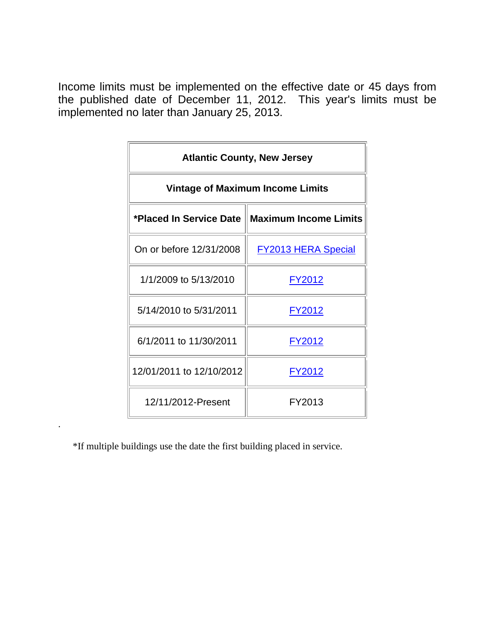|                          | <b>Atlantic County, New Jersey</b>               |
|--------------------------|--------------------------------------------------|
|                          | <b>Vintage of Maximum Income Limits</b>          |
|                          | *Placed In Service Date    Maximum Income Limits |
| On or before 12/31/2008  | <b>FY2013 HERA Special</b>                       |
| 1/1/2009 to 5/13/2010    | <u>FY2012</u>                                    |
| 5/14/2010 to 5/31/2011   | FY2012                                           |
| 6/1/2011 to 11/30/2011   | FY2012                                           |
| 12/01/2011 to 12/10/2012 | FY2012                                           |
| 12/11/2012-Present       | FY2013                                           |

\*If multiple buildings use the date the first building placed in service.

.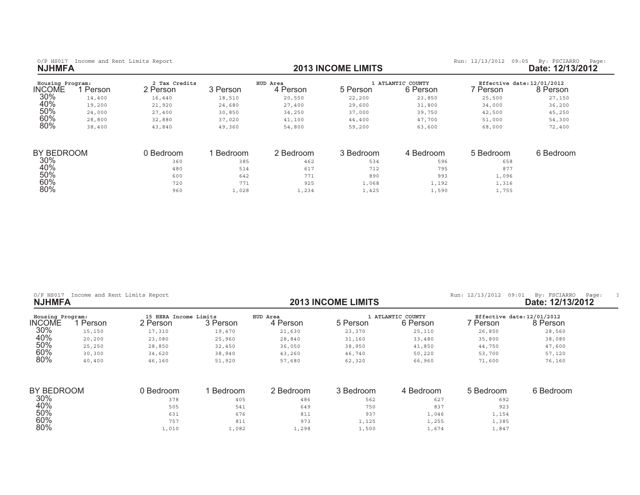$50%$ 

 $60%$ 

 $80\%$ 

| Housing Program:<br><b>INCOME</b> | Person | 2 Tax Credits<br>2 Person | 3 Person | HUD Area<br>4 Person | 5 Person  | ATLANTIC COUNTY<br>6 Person | Effective date: 12/01/2012<br>7 Person | 8 Person  |
|-----------------------------------|--------|---------------------------|----------|----------------------|-----------|-----------------------------|----------------------------------------|-----------|
| 30%                               | 14,400 | 16,440                    | 18,510   | 20,550               | 22,200    | 23,850                      | 25,500                                 | 27,150    |
| 40%                               | 19,200 | 21,920                    | 24,680   | 27,400               | 29,600    | 31,800                      | 34,000                                 | 36,200    |
| 50%                               | 24,000 | 27,400                    | 30,850   | 34,250               | 37,000    | 39,750                      | 42,500                                 | 45,250    |
| 60%                               | 28,800 | 32,880                    | 37,020   | 41,100               | 44,400    | 47,700                      | 51,000                                 | 54,300    |
| 80%                               | 38,400 | 43,840                    | 49,360   | 54,800               | 59,200    | 63,600                      | 68,000                                 | 72,400    |
| BY BEDROOM                        |        | 0 Bedroom                 | Bedroom  | 2 Bedroom            | 3 Bedroom | 4 Bedroom                   | 5 Bedroom                              | 6 Bedroom |
| 30%                               |        | 360                       | 385      | 462                  | 534       | 596                         | 658                                    |           |
| 40%                               |        | 480                       | 514      | 617                  | 712       | 795                         | 877                                    |           |
| 50%                               |        | 600                       | 642      | 771                  | 890       | 993                         | 1,096                                  |           |
| 60%                               |        | 720                       | 771      | 925                  | 1,068     | 1,192                       | 1,316                                  |           |
| 80%                               |        | 960                       | 1,028    | 1,234                | 1,425     | 1,590                       | 1,755                                  |           |

| $O/P$ HS017<br><b>NJHMFA</b> | Income and Rent Limits Report |                                   |          |                      | <b>2013 INCOME LIMITS</b> |                               | Run: 12/13/2012<br>09:01               | By: FSCIARRO<br>Page:<br>Date: 12/13/2012 |
|------------------------------|-------------------------------|-----------------------------------|----------|----------------------|---------------------------|-------------------------------|----------------------------------------|-------------------------------------------|
| Housing Program:<br>INCOME   | Person                        | 15 HERA Income Limits<br>2 Person | 3 Person | HUD Area<br>4 Person | 5 Person                  | 1 ATLANTIC COUNTY<br>6 Person | Effective date: 12/01/2012<br>' Person | 8 Person                                  |
| 30%                          | 15,150                        | 17,310                            | 19,470   | 21,630               | 23,370                    | 25,110                        | 26,850                                 | 28,560                                    |
| 40%                          | 20,200                        | 23,080                            | 25,960   | 28,840               | 31,160                    | 33,480                        | 35,800                                 | 38,080                                    |
| 50%                          | 25,250                        | 28,850                            | 32,450   | 36,050               | 38,950                    | 41,850                        | 44,750                                 | 47,600                                    |
| 60%                          | 30,300                        | 34,620                            | 38,940   | 43,260               | 46,740                    | 50,220                        | 53,700                                 | 57,120                                    |
| 80%                          | 40,400                        | 46,160                            | 51,920   | 57,680               | 62,320                    | 66,960                        | 71,600                                 | 76,160                                    |
| BY BEDROOM                   |                               | 0 Bedroom                         | Bedroom  | 2 Bedroom            | 3 Bedroom                 | 4 Bedroom                     | 5 Bedroom                              | 6 Bedroom                                 |
| 30%                          |                               | 378                               | 405      | 486                  | 562                       | 627                           | 692                                    |                                           |
| 40%                          |                               | 505                               | 541      | 649                  | 750                       | 837                           | 923                                    |                                           |

 $\frac{1}{10}$  ,  $\frac{1}{100}$  ,  $\frac{1}{100}$  ,  $\frac{1}{100}$  ,  $\frac{1}{100}$  ,  $\frac{1}{100}$  ,  $\frac{1}{100}$  ,  $\frac{1}{100}$  ,  $\frac{1}{100}$  ,  $\frac{1}{100}$  ,  $\frac{1}{100}$  ,  $\frac{1}{100}$  ,  $\frac{1}{100}$  ,  $\frac{1}{100}$  ,  $\frac{1}{100}$  ,  $\frac{1}{100}$ 

 $\frac{7}{0}$  , and the contract of the contract of the contract of the contract of the contract of the contract of the contract of the contract of the contract of the contract of the contract of the contract of the contract

 $\frac{1}{100}$  ,  $\frac{1}{100}$  ,  $\frac{1}{100}$  ,  $\frac{1}{100}$  ,  $\frac{1}{100}$  ,  $\frac{1}{100}$  ,  $\frac{1}{100}$  ,  $\frac{1}{100}$  ,  $\frac{1}{100}$  ,  $\frac{1}{100}$  ,  $\frac{1}{100}$  ,  $\frac{1}{100}$  ,  $\frac{1}{100}$  ,  $\frac{1}{100}$  ,  $\frac{1}{100}$  ,  $\frac{1}{100}$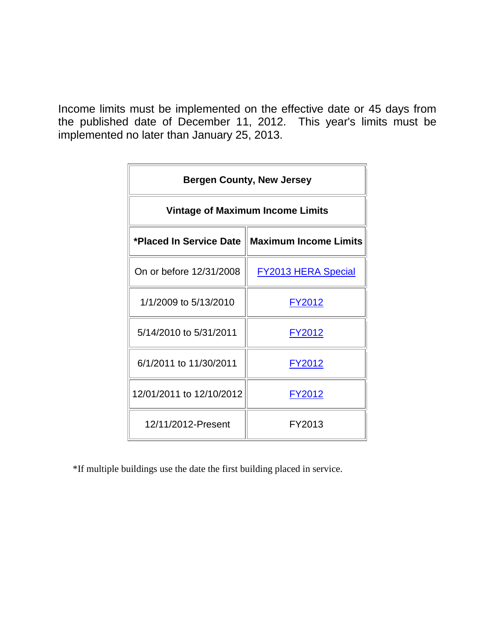|                          | <b>Bergen County, New Jersey</b>                 |
|--------------------------|--------------------------------------------------|
|                          | <b>Vintage of Maximum Income Limits</b>          |
|                          | *Placed In Service Date    Maximum Income Limits |
| On or before 12/31/2008  | <b>FY2013 HERA Special</b>                       |
| 1/1/2009 to 5/13/2010    | <u>FY2012</u>                                    |
| 5/14/2010 to 5/31/2011   | <u>FY2012</u>                                    |
| 6/1/2011 to 11/30/2011   | FY2012                                           |
| 12/01/2011 to 12/10/2012 | <u>FY2012</u>                                    |
| 12/11/2012-Present       | FY2013                                           |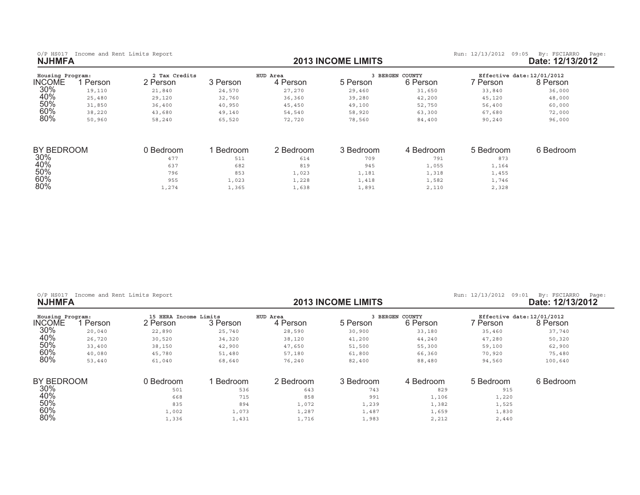| Housing Program: |        | 2 Tax Credits |          | HUD Area  | <b>BERGEN</b> | COUNTY    | Effective date: 12/01/2012 |           |
|------------------|--------|---------------|----------|-----------|---------------|-----------|----------------------------|-----------|
| INCOME           | Person | 2 Person      | 3 Person | 4 Person  | 5 Person      | 6 Person  | ' Person                   | 8 Person  |
| 30%              | 19,110 | 21,840        | 24,570   | 27,270    | 29,460        | 31,650    | 33,840                     | 36,000    |
| 40%              | 25,480 | 29,120        | 32,760   | 36,360    | 39,280        | 42,200    | 45,120                     | 48,000    |
| 50%              | 31,850 | 36,400        | 40,950   | 45,450    | 49,100        | 52,750    | 56,400                     | 60,000    |
| 60%              | 38,220 | 43,680        | 49,140   | 54,540    | 58,920        | 63,300    | 67,680                     | 72,000    |
| 80%              | 50,960 | 58,240        | 65,520   | 72,720    | 78,560        | 84,400    | 90,240                     | 96,000    |
| BY BEDROOM       |        | 0 Bedroom     | Bedroom  | 2 Bedroom | 3 Bedroom     | 4 Bedroom | 5 Bedroom                  | 6 Bedroom |
| 30%              |        | 477           | 511      | 614       | 709           | 791       | 873                        |           |
| 40%              |        | 637           | 682      | 819       | 945           | 1,055     | 1,164                      |           |
| 50%              |        | 796           | 853      | 1,023     | 1,181         | 1,318     | 1,455                      |           |

 $\frac{1}{10}$  , and the contract of the contract of the contract of the contract of the contract of the contract of the contract of the contract of the contract of the contract of the contract of the contract of the contract

 $\frac{1}{20}$  , and the contract of the contract of the contract of the contract of the contract of the contract of the contract of the contract of the contract of the contract of the contract of the contract of the contract

 $\frac{1}{274}$  ,  $\frac{274}{1,365}$  ,  $\frac{1}{638}$  ,  $\frac{1}{891}$  ,  $\frac{2}{110}$  ,  $\frac{2}{328}$ 

|  |  | $O/P$ HS017 |  |  |  |  | Income and Rent Limits Report |
|--|--|-------------|--|--|--|--|-------------------------------|
|--|--|-------------|--|--|--|--|-------------------------------|

60%

 $80\%$ 

0/P HS017 Income and Rent Limits Report **12/13/2012** (P HS017 Income and Rent Limits Report **income and Report 12/13/2012** (Page: 12/13/2012 (Page: 12/13/2012 (Page: 12/13/2012 (Page: 12/13/2012 (Page: 12/13/2012 (Page: 12

| Housing Program: |        | 15 HERA Income Limits |          | HUD Area  |           | <b>BERGEN COUNTY</b> | Effective date: 12/01/2012 |           |
|------------------|--------|-----------------------|----------|-----------|-----------|----------------------|----------------------------|-----------|
| <b>INCOME</b>    | Person | 2 Person              | 3 Person | 4 Person  | 5 Person  | 6 Person             | 7 Person                   | 8 Person  |
| 30%              | 20,040 | 22,890                | 25,740   | 28,590    | 30,900    | 33,180               | 35,460                     | 37,740    |
| 40%              | 26,720 | 30,520                | 34,320   | 38,120    | 41,200    | 44,240               | 47,280                     | 50,320    |
| 50%              | 33,400 | 38,150                | 42,900   | 47,650    | 51,500    | 55,300               | 59,100                     | 62,900    |
| 60%              | 40,080 | 45,780                | 51,480   | 57,180    | 61,800    | 66,360               | 70,920                     | 75,480    |
| 80%              | 53,440 | 61,040                | 68,640   | 76,240    | 82,400    | 88,480               | 94,560                     | 100,640   |
| BY BEDROOM       |        | 0 Bedroom             | Bedroom  | 2 Bedroom | 3 Bedroom | 4 Bedroom            | 5 Bedroom                  | 6 Bedroom |
| 30%              |        | 501                   | 536      | 643       | 743       | 829                  | 915                        |           |
| 40%              |        | 668                   | 715      | 858       | 991       | 1,106                | 1,220                      |           |
| 50%              |        | 835                   | 894      | 1,072     | 1,239     | 1,382                | 1,525                      |           |
| 60%              |        | 1,002                 | 1,073    | 1,287     | 1,487     | 1,659                | 1,830                      |           |
| 80%              |        | 1,336                 | 1,431    | 1,716     | 1,983     | 2,212                | 2,440                      |           |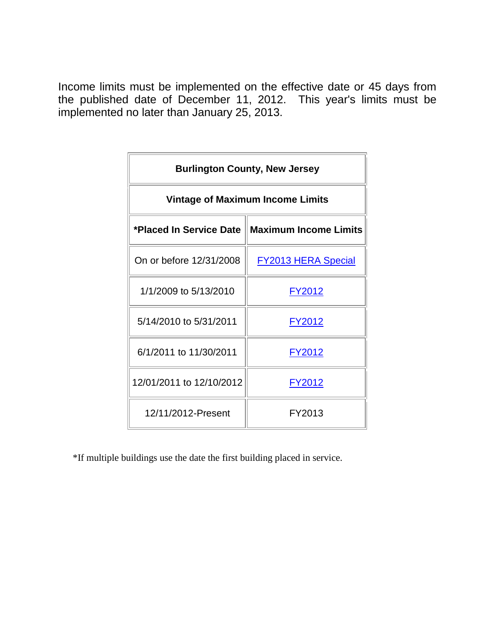|                          | <b>Burlington County, New Jersey</b>             |
|--------------------------|--------------------------------------------------|
|                          | <b>Vintage of Maximum Income Limits</b>          |
|                          | *Placed In Service Date    Maximum Income Limits |
| On or before 12/31/2008  | <b>FY2013 HERA Special</b>                       |
| 1/1/2009 to 5/13/2010    | <u>FY2012</u>                                    |
| 5/14/2010 to 5/31/2011   | FY2012                                           |
| 6/1/2011 to 11/30/2011   | FY2012                                           |
| 12/01/2011 to 12/10/2012 | <u>FY2012</u>                                    |
| 12/11/2012-Present       | FY2013                                           |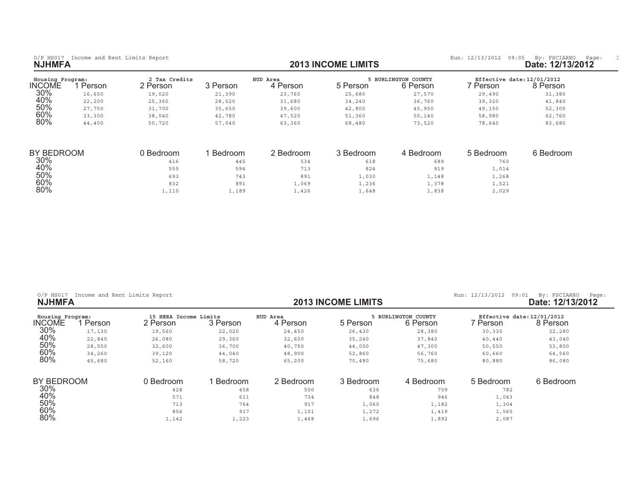| Housing Program:<br>INCOME | Person | 2 Tax Credits<br>2 Person | ` Person | HUD Area<br>Person | 5 Person | BURLINGTON COUNTY<br><b>S</b> Person | Person | Effective date: 12/01/2012<br>8 Person |
|----------------------------|--------|---------------------------|----------|--------------------|----------|--------------------------------------|--------|----------------------------------------|
| 30%                        | 16,650 | 19,020                    | 21,390   | 23,760             | 25,680   | 27,570                               | 29,490 | 31,380                                 |
| 40%                        | 22,200 | 25,360                    | 28,520   | 31,680             | 34,240   | 36,760                               | 39,320 | 41,840                                 |
| 50%                        | 27,750 | 31,700                    | 35,650   | 39,600             | 42,800   | 45,950                               | 49,150 | 52,300                                 |
| 60%                        | 33,300 | 38,040                    | 42,780   | 47,520             | 51,360   | 55,140                               | 58,980 | 62,760                                 |
| 80%                        | 44,400 | 50,720                    | 57,040   | 63,360             | 68,480   | 73,520                               | 78,640 | 83,680                                 |

| BY BEDROOM | Bedroom | Bedroom | 2 Bedroom | 3 Bedroom     | 4 Bedroom | 5 Bedroom | 6 Bedroom |
|------------|---------|---------|-----------|---------------|-----------|-----------|-----------|
| 30%        | 416     | 445     | 534       | 618           | 689       | 760       |           |
| 40%        | 555     | 594     | 713       | 824           | 919       | 1,014     |           |
| 50%        | 693     | 743     | 891       | $\perp$ , 030 | 1,148     | 1,268     |           |
| 60%        | 832     | 891     | .,069     | 1,236         | 1,378     | 1,521     |           |
| 80%        | 1,110   | 1,189   | 1,426     | 1,648         | 1,838     | 2,029     |           |

|  | $O/P$ HS017 | Income and Rent Limits Report |  |  |
|--|-------------|-------------------------------|--|--|
|  |             |                               |  |  |

0/P HS017 Income and Rent Limits Report **12/13/2012** COME LIMITS Run: 12/13/2012 09:01 By: FSCIARRO Page:<br>**2013 INCOME LIMITS** Run: 12/13/2012 Date: 12/13/2012

| ate: 12/13/2012 |
|-----------------|
|-----------------|

| Housing Program: |        | 15 HERA Income Limits |          | HUD Area  |           | <b>BURLINGTON COUNTY</b> | Effective date: 12/01/2012 |           |
|------------------|--------|-----------------------|----------|-----------|-----------|--------------------------|----------------------------|-----------|
| <b>INCOME</b>    | Person | 2 Person              | 3 Person | 4 Person  | 5 Person  | 6 Person                 | ' Person                   | 8 Person  |
| 30%              | 17,130 | 19,560                | 22,020   | 24,450    | 26,430    | 28,380                   | 30,330                     | 32,280    |
| 40%              | 22,840 | 26,080                | 29,360   | 32,600    | 35,240    | 37,840                   | 40,440                     | 43,040    |
| 50%              | 28,550 | 32,600                | 36,700   | 40,750    | 44,050    | 47,300                   | 50,550                     | 53,800    |
| 60%              | 34,260 | 39,120                | 44,040   | 48,900    | 52,860    | 56,760                   | 60,660                     | 64,560    |
| 80%              | 45,680 | 52,160                | 58,720   | 65,200    | 70,480    | 75,680                   | 80,880                     | 86,080    |
| BY BEDROOM       |        | 0 Bedroom             | Bedroom  | 2 Bedroom | 3 Bedroom | 4 Bedroom                | 5 Bedroom                  | 6 Bedroom |
| 30%              |        | 428                   | 458      | 550       | 636       | 709                      | 782                        |           |
| 40%              |        | 571                   | 611      | 734       | 848       | 946                      | 1,043                      |           |
| 50%              |        | 713                   | 764      | 917       | 1,060     | 1,182                    | 1,304                      |           |
| 60%              |        | 856                   | 917      | 1,101     | 1,272     | 1,419                    | 1,565                      |           |
| 80%              |        | 1,142                 | 1,223    | 1,468     | 1,696     | 1,892                    | 2,087                      |           |

**2013 INCOME LIMITS**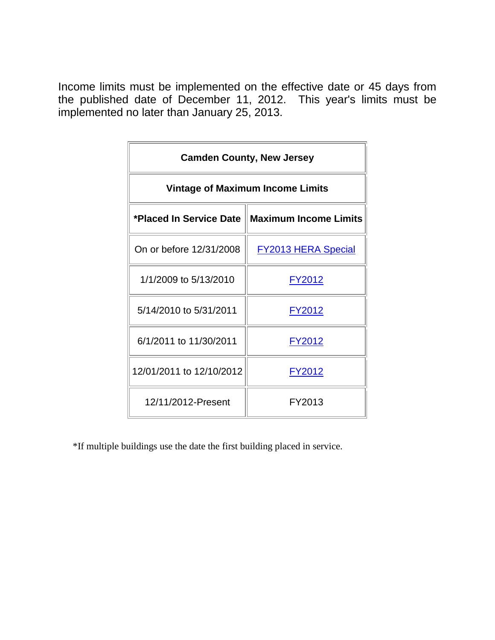| <b>Camden County, New Jersey</b>        |                                                  |  |  |  |  |  |
|-----------------------------------------|--------------------------------------------------|--|--|--|--|--|
| <b>Vintage of Maximum Income Limits</b> |                                                  |  |  |  |  |  |
|                                         | *Placed In Service Date    Maximum Income Limits |  |  |  |  |  |
| On or before 12/31/2008                 | <b>FY2013 HERA Special</b>                       |  |  |  |  |  |
| 1/1/2009 to 5/13/2010                   | <u>FY2012</u>                                    |  |  |  |  |  |
| 5/14/2010 to 5/31/2011                  | FY2012                                           |  |  |  |  |  |
| 6/1/2011 to 11/30/2011                  | FY2012                                           |  |  |  |  |  |
| 12/01/2011 to 12/10/2012                | <u>FY2012</u>                                    |  |  |  |  |  |
| 12/11/2012-Present                      | FY2013                                           |  |  |  |  |  |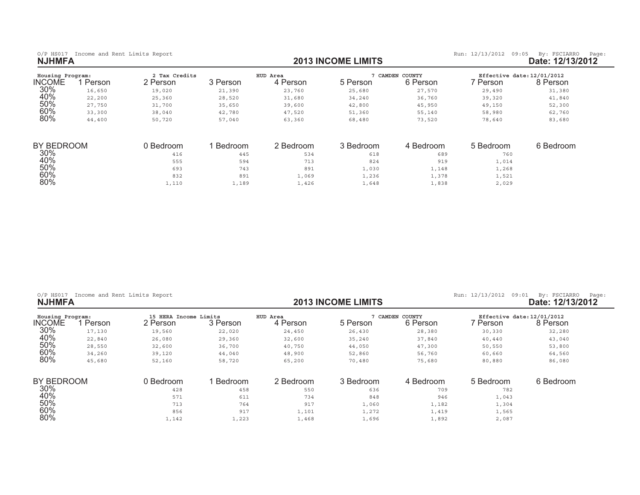0/P HS017 Income and Rent Limits Report **and Report and Report of the State: 12/13/2013 INCOME LIMITS <b>by:** FSCIARRO Page: 12/13/2012<br>**2013 INCOME LIMITS Date: 12/13/2012** 

| Housing Program:<br>INCOME | Person | 2 Tax Credits<br>2 Person | 3 Person | HUD Area<br>4 Person | 5 Person  | CAMDEN COUNTY<br>6 Person | Effective date: 12/01/2012<br>7 Person | 8 Person  |
|----------------------------|--------|---------------------------|----------|----------------------|-----------|---------------------------|----------------------------------------|-----------|
| 30%                        | 16,650 | 19,020                    | 21,390   | 23,760               | 25,680    | 27,570                    | 29,490                                 | 31,380    |
| 40%                        | 22,200 | 25,360                    | 28,520   | 31,680               | 34,240    | 36,760                    | 39,320                                 | 41,840    |
| 50%                        | 27,750 | 31,700                    | 35,650   | 39,600               | 42,800    | 45,950                    | 49,150                                 | 52,300    |
| 60%                        | 33,300 | 38,040                    | 42,780   | 47,520               | 51,360    | 55,140                    | 58,980                                 | 62,760    |
| 80%                        | 44,400 | 50,720                    | 57,040   | 63,360               | 68,480    | 73,520                    | 78,640                                 | 83,680    |
| BY BEDROOM                 |        | 0 Bedroom                 | Bedroom  | 2 Bedroom            | 3 Bedroom | 4 Bedroom                 | 5 Bedroom                              | 6 Bedroom |
| 30%                        |        | 416                       | 445      | 534                  | 618       | 689                       | 760                                    |           |
| 40%                        |        | 555                       | 594      | 713                  | 824       | 919                       | 1,014                                  |           |
| 50%                        |        | 693                       | 743      | 891                  | 1,030     | 1,148                     | 1,268                                  |           |
| 60%                        |        | 832                       | 891      | 1,069                | 1,236     | 1,378                     | 1,521                                  |           |
| 80%                        |        | 1,110                     | 1,189    | 1,426                | 1,648     | 1,838                     | 2,029                                  |           |

 $\frac{1}{10}$  ,  $\frac{110}{10}$  ,  $\frac{110}{100}$  ,  $\frac{1}{100}$  ,  $\frac{1}{100}$  ,  $\frac{1}{100}$  ,  $\frac{1}{100}$  ,  $\frac{1}{100}$  ,  $\frac{1}{100}$  ,  $\frac{1}{100}$  ,  $\frac{1}{100}$  ,  $\frac{1}{100}$  ,  $\frac{1}{100}$  ,  $\frac{1}{100}$  ,  $\frac{1}{100}$  ,  $\frac{1}{100$ 

| $O/P$ HS017 | Income and Rent Limits Report |  |  |  |  |
|-------------|-------------------------------|--|--|--|--|
|-------------|-------------------------------|--|--|--|--|

0/P HS017 Income and Rent Limits Report **12/13/2012** (P HS017 Income and Rent Limits Report **income and Report 12/13/2012** (Page: 12/13/2012 (Page: 12/13/2012 (Page: 12/13/2012 (Page: 12/13/2012 (Page: 12/13/2012 (Page: 12

| Housing Program: |        | 15 HERA Income Limits |          | HUD Area  |           | CAMDEN COUNTY | Effective date: 12/01/2012 |           |
|------------------|--------|-----------------------|----------|-----------|-----------|---------------|----------------------------|-----------|
| <b>INCOME</b>    | Person | 2 Person              | 3 Person | 4 Person  | 5 Person  | 6 Person      | ' Person                   | 8 Person  |
| 30%              | 17,130 | 19,560                | 22,020   | 24,450    | 26,430    | 28,380        | 30,330                     | 32,280    |
| 40%              | 22,840 | 26,080                | 29,360   | 32,600    | 35,240    | 37,840        | 40,440                     | 43,040    |
| 50%              | 28,550 | 32,600                | 36,700   | 40,750    | 44,050    | 47,300        | 50,550                     | 53,800    |
| 60%              | 34,260 | 39,120                | 44,040   | 48,900    | 52,860    | 56,760        | 60,660                     | 64,560    |
| 80%              | 45,680 | 52,160                | 58,720   | 65,200    | 70,480    | 75,680        | 80,880                     | 86,080    |
| BY BEDROOM       |        | 0 Bedroom             | Bedroom  | 2 Bedroom | 3 Bedroom | 4 Bedroom     | 5 Bedroom                  | 6 Bedroom |
| 30%              |        | 428                   | 458      | 550       | 636       | 709           | 782                        |           |
| 40%              |        | 571                   | 611      | 734       | 848       | 946           | 1,043                      |           |
| 50%              |        | 713                   | 764      | 917       | 1,060     | 1,182         | 1,304                      |           |
| 60%              |        | 856                   | 917      | 1,101     | 1,272     | 1,419         | 1,565                      |           |
| 80%              |        | 1,142                 | 1,223    | 1,468     | 1,696     | 1,892         | 2,087                      |           |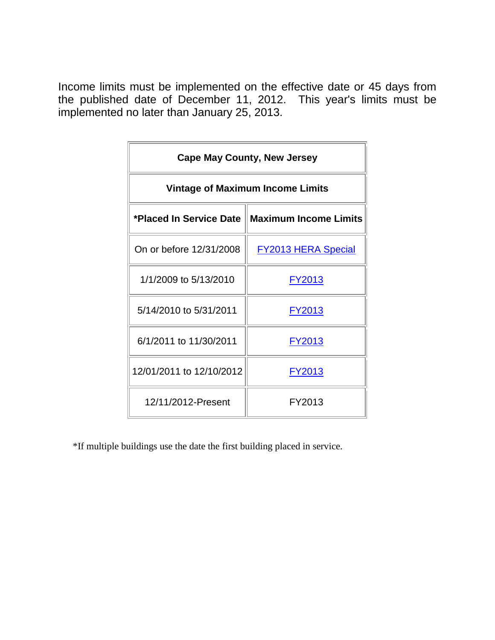| <b>Cape May County, New Jersey</b>      |                                                  |  |  |  |  |  |
|-----------------------------------------|--------------------------------------------------|--|--|--|--|--|
| <b>Vintage of Maximum Income Limits</b> |                                                  |  |  |  |  |  |
|                                         | *Placed In Service Date    Maximum Income Limits |  |  |  |  |  |
| On or before 12/31/2008                 | <b>FY2013 HERA Special</b>                       |  |  |  |  |  |
| 1/1/2009 to 5/13/2010                   | <u>FY2013</u>                                    |  |  |  |  |  |
| 5/14/2010 to 5/31/2011                  | FY2013                                           |  |  |  |  |  |
| 6/1/2011 to 11/30/2011                  | FY2013                                           |  |  |  |  |  |
| 12/01/2011 to 12/10/2012                | <u>FY2013</u>                                    |  |  |  |  |  |
| 12/11/2012-Present                      | FY2013                                           |  |  |  |  |  |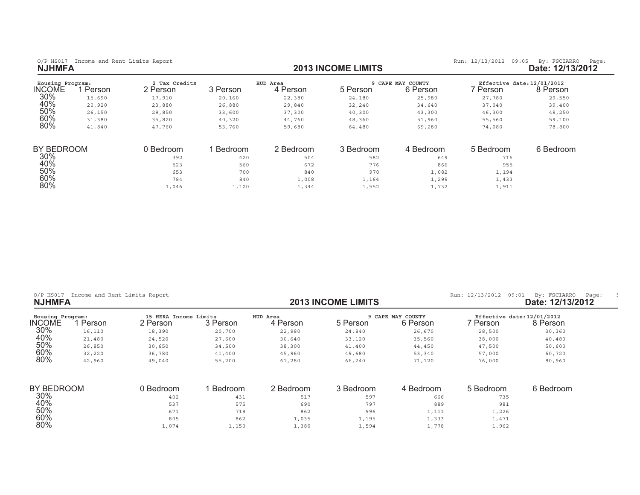| Housing Program:<br><b>INCOME</b> | Person | 2 Tax Credits<br>2 Person | 3 Person | HUD Area<br>4 Person | 5 Person  | 9 CAPE MAY COUNTY<br>6 Person | Effective date: 12/01/2012<br>. Person | 8 Person  |
|-----------------------------------|--------|---------------------------|----------|----------------------|-----------|-------------------------------|----------------------------------------|-----------|
| 30%                               | 15,690 | 17,910                    | 20,160   | 22,380               | 24,180    | 25,980                        | 27,780                                 | 29,550    |
| 40%                               | 20,920 | 23,880                    | 26,880   | 29,840               | 32,240    | 34,640                        | 37,040                                 | 39,400    |
| 50%                               | 26,150 | 29,850                    | 33,600   | 37,300               | 40,300    | 43,300                        | 46,300                                 | 49,250    |
| 60%                               | 31,380 | 35,820                    | 40,320   | 44,760               | 48,360    | 51,960                        | 55,560                                 | 59,100    |
| 80%                               | 41,840 | 47,760                    | 53,760   | 59,680               | 64,480    | 69,280                        | 74,080                                 | 78,800    |
| BY BEDROOM                        |        | 0 Bedroom                 | Bedroom  | 2 Bedroom            | 3 Bedroom | 4 Bedroom                     | 5 Bedroom                              | 6 Bedroom |
| 30%                               |        | 392                       | 420      | 504                  | 582       | 649                           | 716                                    |           |
| 40%                               |        | 523                       | 560      | 672                  | 776       | 866                           | 955                                    |           |
| 50%                               |        | 653                       | 700      | 840                  | 970       | 1,082                         | 1,194                                  |           |
| 60%                               |        | 784                       | 840      | 1,008                | 1,164     | 1,299                         | 1,433                                  |           |
| 80%                               |        | 1,046                     | 1,120    | 1,344                | 1,552     | 1,732                         | 1,911                                  |           |

|       |                                                                                                          |                                              |                       |                                        |                                                     | 09:01<br>By: FSCIARRO<br>Page:<br>Date: 12/13/2012 |
|-------|----------------------------------------------------------------------------------------------------------|----------------------------------------------|-----------------------|----------------------------------------|-----------------------------------------------------|----------------------------------------------------|
|       |                                                                                                          | 4 Person                                     | 5 Person              |                                        | ' Person                                            | Effective date: 12/01/2012<br>8 Person             |
|       | 20,700                                                                                                   | 22,980                                       | 24,840                | 26,670                                 | 28,500                                              | 30,360                                             |
|       | 27,600                                                                                                   | 30,640                                       | 33,120                | 35,560                                 | 38,000                                              | 40,480                                             |
|       | 34,500                                                                                                   | 38,300                                       | 41,400                | 44,450                                 | 47,500                                              | 50,600                                             |
|       | 41,400                                                                                                   | 45,960                                       | 49,680                | 53,340                                 | 57,000                                              | 60,720                                             |
|       | 55,200                                                                                                   | 61,280                                       | 66,240                | 71,120                                 | 76,000                                              | 80,960                                             |
|       |                                                                                                          |                                              |                       |                                        |                                                     | 6 Bedroom                                          |
| 402   | 431                                                                                                      | 517                                          | 597                   | 666                                    |                                                     |                                                    |
| 537   | 575                                                                                                      | 690                                          | 797                   | 889                                    | 981                                                 |                                                    |
| 671   | 718                                                                                                      | 862                                          | 996                   | 1,111                                  | 1,226                                               |                                                    |
| 805   | 862                                                                                                      | 1,035                                        | 1,195                 |                                        |                                                     |                                                    |
| 1,074 | 1,150                                                                                                    | 1,380                                        | 1,594                 | 1,778                                  | 1,962                                               |                                                    |
|       | Income and Rent Limits Report<br>2 Person<br>18,390<br>24,520<br>30,650<br>36,780<br>49,040<br>0 Bedroom | 15 HERA Income Limits<br>3 Person<br>Bedroom | HUD Area<br>2 Bedroom | <b>2013 INCOME LIMITS</b><br>3 Bedroom | 9 CAPE MAY COUNTY<br>6 Person<br>4 Bedroom<br>1,333 | Run: 12/13/2012<br>5 Bedroom<br>735<br>1,471       |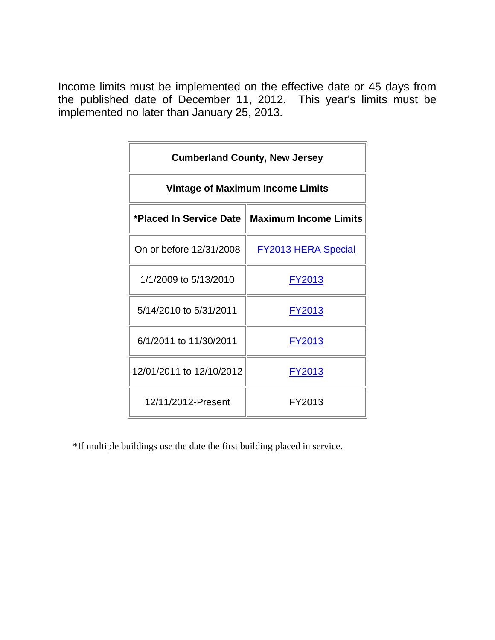| <b>Cumberland County, New Jersey</b>    |                                                  |  |  |  |  |  |
|-----------------------------------------|--------------------------------------------------|--|--|--|--|--|
| <b>Vintage of Maximum Income Limits</b> |                                                  |  |  |  |  |  |
|                                         | *Placed In Service Date    Maximum Income Limits |  |  |  |  |  |
| On or before 12/31/2008                 | <b>FY2013 HERA Special</b>                       |  |  |  |  |  |
| 1/1/2009 to 5/13/2010                   | FY2013                                           |  |  |  |  |  |
| 5/14/2010 to 5/31/2011                  | FY2013                                           |  |  |  |  |  |
| 6/1/2011 to 11/30/2011                  | FY2013                                           |  |  |  |  |  |
| 12/01/2011 to 12/10/2012                | <u>FY2013</u>                                    |  |  |  |  |  |
| 12/11/2012-Present                      | FY2013                                           |  |  |  |  |  |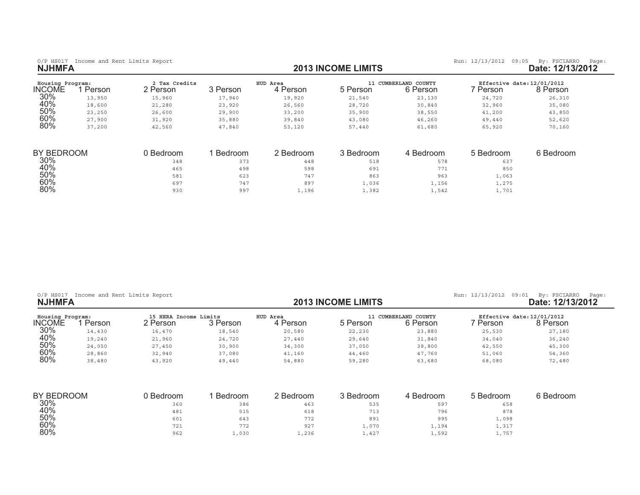| O/P HS017 Income and Rent Limits Report |  |  |  |
|-----------------------------------------|--|--|--|
| <b>NJHMFA</b>                           |  |  |  |

1

0/P HS017 Income and Rent Limits Report **and Report and Report of the State: 12/13/2013 INCOME LIMITS <b>by:** FSCIARRO Page: 12/13/2012<br>**2013 INCOME LIMITS Date: 12/13/2012** 

| Housing Program:<br><b>INCOME</b> | Person | 2 Tax Credits<br>2 Person | 3 Person | HUD Area<br>4 Person | 11<br>5 Person | CUMBERLAND COUNTY<br>6 Person | Effective date: 12/01/2012<br>7 Person. | 8 Person  |
|-----------------------------------|--------|---------------------------|----------|----------------------|----------------|-------------------------------|-----------------------------------------|-----------|
| 30%                               | 13,950 | 15,960                    | 17,940   | 19,920               | 21,540         | 23,130                        | 24,720                                  | 26,310    |
| 40%                               | 18,600 | 21,280                    | 23,920   | 26,560               | 28,720         | 30,840                        | 32,960                                  | 35,080    |
| 50%                               | 23,250 | 26,600                    | 29,900   | 33,200               | 35,900         | 38,550                        | 41,200                                  | 43,850    |
| 60%                               | 27,900 | 31,920                    | 35,880   | 39,840               | 43,080         | 46,260                        | 49,440                                  | 52,620    |
| 80%                               | 37,200 | 42,560                    | 47,840   | 53,120               | 57,440         | 61,680                        | 65,920                                  | 70,160    |
| BY BEDROOM                        |        | 0 Bedroom                 | Bedroom  | 2 Bedroom            | 3 Bedroom      | 4 Bedroom                     | 5 Bedroom                               | 6 Bedroom |
| 30%                               |        | 348                       | 373      | 448                  | 518            | 578                           | 637                                     |           |
| 40%                               |        | 465                       | 498      | 598                  | 691            | 771                           | 850                                     |           |
| 50%                               |        | 581                       | 623      | 747                  | 863            | 963                           | 1,063                                   |           |
| 60%                               |        | 697                       | 747      | 897                  | 1,036          | 1,156                         | 1,275                                   |           |
| 80%                               |        | 930                       | 997      | 1,196                | 1,382          | 1,542                         | 1,701                                   |           |

| $O/P$ HS017<br><b>NJHMFA</b> | Income and Rent Limits Report |                                   |          |                      | <b>2013 INCOME LIMITS</b> | Run: 12/13/2012 09:01<br>By: FSCIARRO<br>Page:<br>Date: 12/13/2012 |          |                                        |
|------------------------------|-------------------------------|-----------------------------------|----------|----------------------|---------------------------|--------------------------------------------------------------------|----------|----------------------------------------|
| Housing Program:<br>NCOME    | Person                        | 15 HERA Income Limits<br>2 Person | 3 Person | HUD Area<br>4 Person | 5 Person                  | 11 CUMBERLAND COUNTY<br>6 Person                                   | ' Person | Effective date: 12/01/2012<br>8 Person |
| 30%                          | 14,430                        | 16,470                            | 18,540   | 20,580               | 22,230                    | 23,880                                                             | 25,530   | 27,180                                 |
| 40%                          | 19,240                        | 21,960                            | 24,720   | 27,440               | 29,640                    | 31,840                                                             | 34,040   | 36,240                                 |
| 50%                          | 24,050                        | 27,450                            | 30,900   | 34,300               | 37,050                    | 39,800                                                             | 42,550   | 45,300                                 |
| 60%                          | 28,860                        | 32,940                            | 37,080   | 41,160               | 44,460                    | 47,760                                                             | 51,060   | 54,360                                 |
| 80%                          | 38,480                        | 43,920                            | 49,440   | 54,880               | 59,280                    | 63,680                                                             | 68,080   | 72,480                                 |

| <b>BY BEDROOM</b> | Bedroom | Bedroom      | 2 Bedroom | 3 Bedroom | Bedroom | ნ Bedroom | 6 Bedroom |
|-------------------|---------|--------------|-----------|-----------|---------|-----------|-----------|
| 30%               | 360     | 386          | 463       | 535       | 597     | 658       |           |
| 40%               | 481     | 515<br>ن ط ب | 618       | 713       | 796     | 878       |           |
| 50%               | 601     | 643          | 772       | 891       | 995     | 1,098     |           |
| 60%               | 721     | 772          | 927       | 1,070     | 1,194   | 1,317     |           |
| 80%               | 962     | 1,030        | 1,236     | 1,427     | 1,592   | 1,757     |           |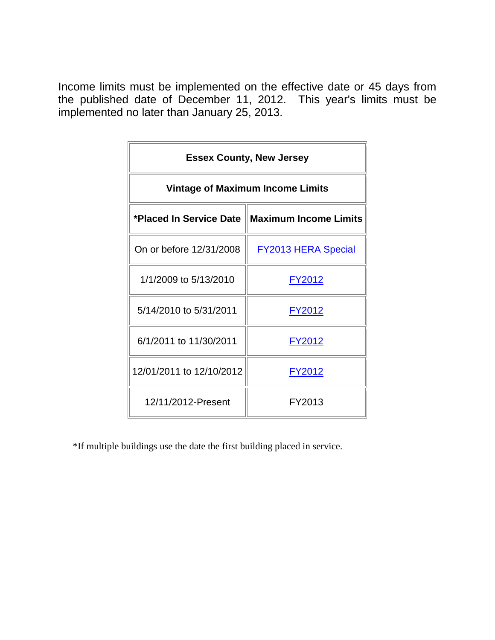| <b>Essex County, New Jersey</b>         |                                                  |  |  |  |  |  |
|-----------------------------------------|--------------------------------------------------|--|--|--|--|--|
| <b>Vintage of Maximum Income Limits</b> |                                                  |  |  |  |  |  |
|                                         | *Placed In Service Date    Maximum Income Limits |  |  |  |  |  |
| On or before 12/31/2008                 | <b>FY2013 HERA Special</b>                       |  |  |  |  |  |
| 1/1/2009 to 5/13/2010                   | <u>FY2012</u>                                    |  |  |  |  |  |
| 5/14/2010 to 5/31/2011                  | FY2012                                           |  |  |  |  |  |
| 6/1/2011 to 11/30/2011                  | FY2012                                           |  |  |  |  |  |
| 12/01/2011 to 12/10/2012                | <u>FY2012</u>                                    |  |  |  |  |  |
| 12/11/2012-Present                      | FY2013                                           |  |  |  |  |  |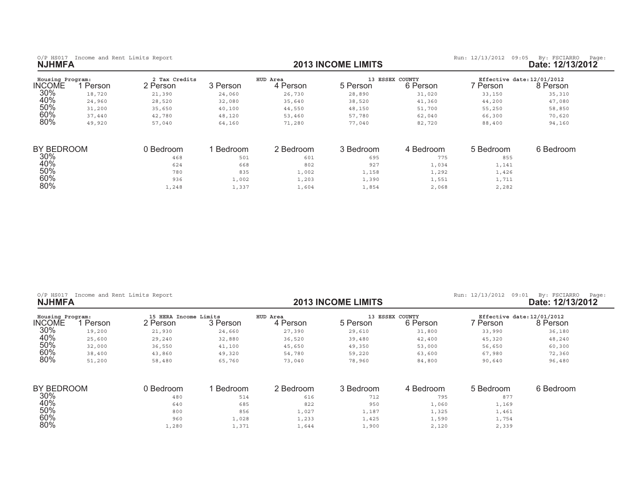| O/P HS017 Income and Rent Limits Report |  |  |  |
|-----------------------------------------|--|--|--|
| <b>NJHMFA</b>                           |  |  |  |

0/P HS017 Income and Rent Limits Report **and Report and Report of the State: 12/13/2013 INCOME LIMITS <b>by:** FSCIARRO Page: 12/13/2012<br>**2013 INCOME LIMITS Date: 12/13/2012** 

| Housing Program: |        | 2 Tax Credits |          | HUD Area  |           | 13 ESSEX COUNTY | Effective date: 12/01/2012 |           |
|------------------|--------|---------------|----------|-----------|-----------|-----------------|----------------------------|-----------|
| <b>INCOME</b>    | Person | 2 Person      | 3 Person | 4 Person  | 5 Person  | 6 Person        | Person                     | 8 Person  |
| 30%              | 18,720 | 21,390        | 24,060   | 26,730    | 28,890    | 31,020          | 33,150                     | 35,310    |
| 40%              | 24,960 | 28,520        | 32,080   | 35,640    | 38,520    | 41,360          | 44,200                     | 47,080    |
| 50%              | 31,200 | 35,650        | 40,100   | 44,550    | 48,150    | 51,700          | 55,250                     | 58,850    |
| 60%              | 37,440 | 42,780        | 48,120   | 53,460    | 57,780    | 62,040          | 66,300                     | 70,620    |
| 80%              | 49,920 | 57,040        | 64,160   | 71,280    | 77,040    | 82,720          | 88,400                     | 94,160    |
| BY BEDROOM       |        | 0 Bedroom     | Bedroom  | 2 Bedroom | 3 Bedroom | 4 Bedroom       | 5 Bedroom                  | 6 Bedroom |
| 30%              |        | 468           | 501      | 601       | 695       | 775             | 855                        |           |
| 40%              |        | 624           | 668      | 802       | 927       | 1,034           | 1,141                      |           |
| 50%              |        | 780           | 835      | 1,002     | 1,158     | 1,292           | 1,426                      |           |
| 60%              |        | 936           | 1,002    | 1,203     | 1,390     | 1,551           | 1,711                      |           |
| 80%              |        | 1,248         | 1,337    | 1,604     | 1,854     | 2,068           | 2,282                      |           |

| Income and Rent Limits Report<br>$O/P$ HS017<br><b>NJHMFA</b> |        |                                   |          |                      | <b>2013 INCOME LIMITS</b> | Run: 12/13/2012<br>09:01    | By: FSCIARRO<br>Page:<br>Date: 12/13/2012 |                                        |
|---------------------------------------------------------------|--------|-----------------------------------|----------|----------------------|---------------------------|-----------------------------|-------------------------------------------|----------------------------------------|
| Housing Program:<br><b>INCOME</b>                             | Person | 15 HERA Income Limits<br>2 Person | 3 Person | HUD Area<br>4 Person | 5 Person                  | 13 ESSEX COUNTY<br>6 Person | 7 Person                                  | Effective date: 12/01/2012<br>8 Person |
| 30%                                                           | 19,200 | 21,930                            | 24,660   | 27,390               | 29,610                    | 31,800                      | 33,990                                    | 36,180                                 |
| 40%                                                           | 25,600 | 29,240                            | 32,880   | 36,520               | 39,480                    | 42,400                      | 45,320                                    | 48,240                                 |
| 50%                                                           | 32,000 | 36,550                            | 41,100   | 45,650               | 49,350                    | 53,000                      | 56,650                                    | 60,300                                 |
| 60%                                                           | 38,400 | 43,860                            | 49,320   | 54,780               | 59,220                    | 63,600                      | 67,980                                    | 72,360                                 |
| 80%                                                           | 51,200 | 58,480                            | 65,760   | 73,040               | 78,960                    | 84,800                      | 90,640                                    | 96,480                                 |
| BY BEDROOM                                                    |        | 0 Bedroom                         | Bedroom  | 2 Bedroom            | 3 Bedroom                 | 4 Bedroom                   | 5 Bedroom                                 | 6 Bedroom                              |
| 30%                                                           |        | 480                               | 514      | 616                  | 712                       | 795                         | 877                                       |                                        |
| 40%                                                           |        | 640                               | 685      | 822                  | 950                       | 1,060                       | 1,169                                     |                                        |
| 50%                                                           |        | 800                               | 856      | 1,027                | 1,187                     | 1,325                       | 1,461                                     |                                        |
| 60%                                                           |        | 960                               | 1,028    | 1,233                | 1,425                     | 1,590                       | 1,754                                     |                                        |
| 80%                                                           |        | 1,280                             | 1,371    | 1,644                | 1,900                     | 2,120                       | 2,339                                     |                                        |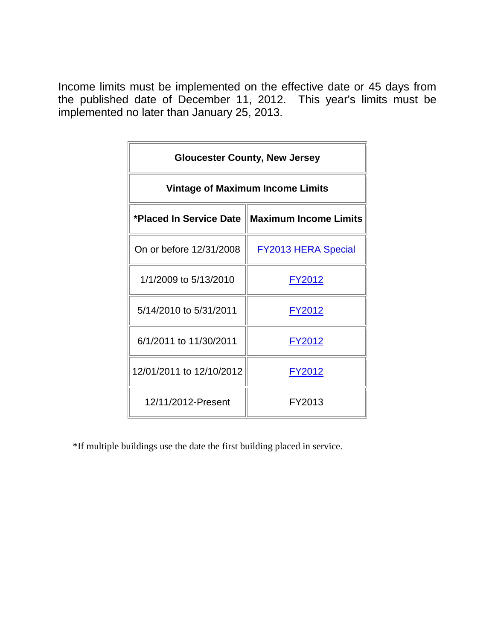| <b>Gloucester County, New Jersey</b>    |                                                  |  |  |  |  |  |
|-----------------------------------------|--------------------------------------------------|--|--|--|--|--|
| <b>Vintage of Maximum Income Limits</b> |                                                  |  |  |  |  |  |
|                                         | *Placed In Service Date    Maximum Income Limits |  |  |  |  |  |
| On or before 12/31/2008                 | <b>FY2013 HERA Special</b>                       |  |  |  |  |  |
| 1/1/2009 to 5/13/2010                   | <u>FY2012</u>                                    |  |  |  |  |  |
| 5/14/2010 to 5/31/2011                  | FY2012                                           |  |  |  |  |  |
| 6/1/2011 to 11/30/2011                  | FY2012                                           |  |  |  |  |  |
| 12/01/2011 to 12/10/2012                | <u>FY2012</u>                                    |  |  |  |  |  |
| 12/11/2012-Present                      | FY2013                                           |  |  |  |  |  |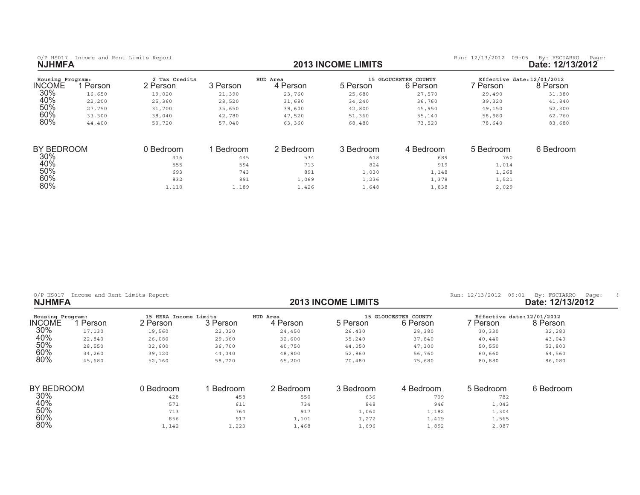| O/P HS017 Income and Rent Limits Report |  |  |  |
|-----------------------------------------|--|--|--|
| <b>NJHMFA</b>                           |  |  |  |

0/P HS017 Income and Rent Limits Report **and Report and Report of the State: 12/13/2013 INCOME LIMITS <b>by:** FSCIARRO Page: 12/13/2012<br>**2013 INCOME LIMITS Date: 12/13/2012** 

| Housing Program: |        | 2 Tax Credits |          | HUD Area  |           | 15 GLOUCESTER COUNTY | Effective date: 12/01/2012 |           |
|------------------|--------|---------------|----------|-----------|-----------|----------------------|----------------------------|-----------|
| <b>INCOME</b>    | Person | 2 Person      | 3 Person | 4 Person  | 5 Person  | 6 Person             | 7 Person                   | 8 Person  |
| 30%              | 16,650 | 19,020        | 21,390   | 23,760    | 25,680    | 27,570               | 29,490                     | 31,380    |
| 40%              | 22,200 | 25,360        | 28,520   | 31,680    | 34,240    | 36,760               | 39,320                     | 41,840    |
| 50%              | 27,750 | 31,700        | 35,650   | 39,600    | 42,800    | 45,950               | 49,150                     | 52,300    |
| 60%              | 33,300 | 38,040        | 42,780   | 47,520    | 51,360    | 55,140               | 58,980                     | 62,760    |
| 80%              | 44,400 | 50,720        | 57,040   | 63,360    | 68,480    | 73,520               | 78,640                     | 83,680    |
|                  |        |               |          |           |           |                      |                            |           |
| BY BEDROOM       |        | 0 Bedroom     | Bedroom  | 2 Bedroom | 3 Bedroom | 4 Bedroom            | 5 Bedroom                  | 6 Bedroom |
| 30%              |        | 416           | 445      | 534       | 618       | 689                  | 760                        |           |
| 40%              |        | 555           | 594      | 713       | 824       | 919                  | 1,014                      |           |
| 50%              |        | 693           | 743      | 891       | 1,030     | 1,148                | 1,268                      |           |
| 60%              |        | 832           | 891      | 1,069     | 1,236     | 1,378                | 1,521                      |           |
| 80%              |        | 1,110         | 1,189    | 1,426     | 1,648     | 1,838                | 2,029                      |           |

| Income and Rent Limits Report<br>$O/P$ HS017<br><b>NJHMFA</b> |        |                                   |          |                      | <b>2013 INCOME LIMITS</b> |                                  |                                        | 09:01<br>By: FSCIARRO<br>Page:<br>Date: 12/13/2012 |
|---------------------------------------------------------------|--------|-----------------------------------|----------|----------------------|---------------------------|----------------------------------|----------------------------------------|----------------------------------------------------|
| Housing Program:<br><b>INCOME</b>                             | Person | 15 HERA Income Limits<br>2 Person | 3 Person | HUD Area<br>4 Person | 5 Person                  | 15 GLOUCESTER COUNTY<br>6 Person | Effective date: 12/01/2012<br>7 Person | 8 Person                                           |
| 30%                                                           | 17,130 | 19,560                            | 22,020   | 24,450               | 26,430                    | 28,380                           | 30,330                                 | 32,280                                             |
| 40%                                                           | 22,840 | 26,080                            | 29,360   | 32,600               | 35,240                    | 37,840                           | 40,440                                 | 43,040                                             |
| 50%                                                           | 28,550 | 32,600                            | 36,700   | 40,750               | 44,050                    | 47,300                           | 50,550                                 | 53,800                                             |
| 60%                                                           | 34,260 | 39,120                            | 44,040   | 48,900               | 52,860                    | 56,760                           | 60,660                                 | 64,560                                             |
| 80%                                                           | 45,680 | 52,160                            | 58,720   | 65,200               | 70,480                    | 75,680                           | 80,880                                 | 86,080                                             |
| BY BEDROOM                                                    |        | 0 Bedroom                         | Bedroom  | 2 Bedroom            | 3 Bedroom                 | 4 Bedroom                        | 5 Bedroom                              | 6 Bedroom                                          |
| 30%                                                           |        | 428                               | 458      | 550                  | 636                       | 709                              | 782                                    |                                                    |
| 40%                                                           |        | 571                               | 611      | 734                  | 848                       | 946                              | 1,043                                  |                                                    |
| 50%                                                           |        | 713                               | 764      | 917                  | 1,060                     | 1,182                            | 1,304                                  |                                                    |
| 60%                                                           |        | 856                               | 917      | 1,101                | 1,272                     | 1,419                            | 1,565                                  |                                                    |
| 80%                                                           |        | 1,142                             | 1,223    | 1,468                | 1,696                     | 1,892                            | 2,087                                  |                                                    |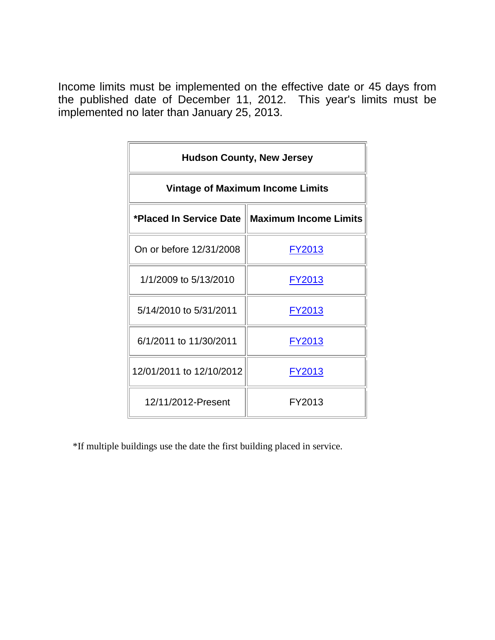| <b>Hudson County, New Jersey</b>        |                                                  |  |  |  |  |  |
|-----------------------------------------|--------------------------------------------------|--|--|--|--|--|
| <b>Vintage of Maximum Income Limits</b> |                                                  |  |  |  |  |  |
|                                         | *Placed In Service Date    Maximum Income Limits |  |  |  |  |  |
| On or before 12/31/2008                 | <u>FY2013</u>                                    |  |  |  |  |  |
| 1/1/2009 to 5/13/2010                   | <u>FY2013</u>                                    |  |  |  |  |  |
| 5/14/2010 to 5/31/2011                  | FY2013                                           |  |  |  |  |  |
| 6/1/2011 to 11/30/2011                  | FY2013                                           |  |  |  |  |  |
| 12/01/2011 to 12/10/2012                | FY2013                                           |  |  |  |  |  |
| 12/11/2012-Present                      | FY2013                                           |  |  |  |  |  |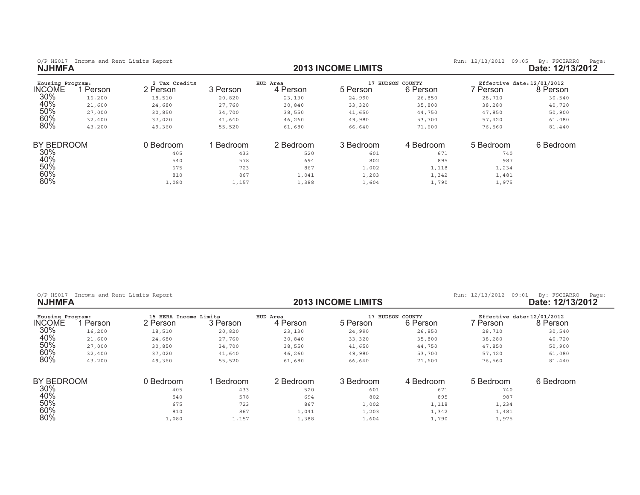| <b>NJHMFA</b>              | O/P HS017 Income and Rent Limits Report |                           |          |                      | <b>2013 INCOME LIMITS</b> |                           | Run: 12/13/2012<br>09:05               | By: FSCIARRO<br>Page:<br>Date: 12/13/2012 |
|----------------------------|-----------------------------------------|---------------------------|----------|----------------------|---------------------------|---------------------------|----------------------------------------|-------------------------------------------|
| Housing Program:<br>INCOME | 1 Person                                | 2 Tax Credits<br>2 Person | 3 Person | HUD Area<br>4 Person | 17<br>5 Person            | HUDSON COUNTY<br>6 Person | Effective date: 12/01/2012<br>7 Person | 8 Person                                  |
| 30%                        | 16,200                                  | 18,510                    | 20,820   | 23,130               | 24,990                    | 26,850                    | 28,710                                 | 30,540                                    |
| 40%                        | 21,600                                  | 24,680                    | 27,760   | 30,840               | 33,320                    | 35,800                    | 38,280                                 | 40,720                                    |
| 50%                        | 27,000                                  | 30,850                    | 34,700   | 38,550               | 41,650                    | 44,750                    | 47,850                                 | 50,900                                    |
| 60%                        | 32,400                                  | 37,020                    | 41,640   | 46,260               | 49,980                    | 53,700                    | 57,420                                 | 61,080                                    |
| 80%                        | 43,200                                  | 49,360                    | 55,520   | 61,680               | 66,640                    | 71,600                    | 76,560                                 | 81,440                                    |
| BY BEDROOM                 |                                         | 0 Bedroom                 | Bedroom  | 2 Bedroom            | 3 Bedroom                 | 4 Bedroom                 | 5 Bedroom                              | 6 Bedroom                                 |
| 30%                        |                                         | 405                       | 433      | 520                  | 601                       | 671                       | 740                                    |                                           |
| 40%                        |                                         | 540                       | 578      | 694                  | 802                       | 895                       | 987                                    |                                           |
| 50%                        |                                         | 675                       | 723      | 867                  | 1,002                     | 1,118                     | 1,234                                  |                                           |
| 60%                        |                                         | 810                       | 867      | 1,041                | 1,203                     | 1,342                     | 1,481                                  |                                           |
| 80%                        |                                         | 1,080                     | 1,157    | 1,388                | 1,604                     | 1,790                     | 1,975                                  |                                           |

|  | O/P HS017 Income and Rent Limits Report |  |  |
|--|-----------------------------------------|--|--|
|  |                                         |  |  |

0/P HS017 Income and Rent Limits Report **12/13/2012** (P HS017 Income and Rent Limits Report **income and Report 12/13/2012** (Page: 12/13/2012 (Page: 12/13/2012 (Page: 12/13/2012 (Page: 12/13/2012 (Page: 12/13/2012 (Page: 12

| Housing Program: |        | 15 HERA Income Limits |                | HUD Area  | 17        | HUDSON COUNTY | Effective date: 12/01/2012 |           |
|------------------|--------|-----------------------|----------------|-----------|-----------|---------------|----------------------------|-----------|
| <b>INCOME</b>    | Person | 2 Person              | 3 Person       | 4 Person  | 5 Person  | 6 Person      | Person                     | 8 Person  |
| 30%              | 16,200 | 18,510                | 20,820         | 23,130    | 24,990    | 26,850        | 28,710                     | 30,540    |
| 40%              | 21,600 | 24,680                | 27,760         | 30,840    | 33,320    | 35,800        | 38,280                     | 40,720    |
| 50%              | 27,000 | 30,850                | 34,700         | 38,550    | 41,650    | 44,750        | 47,850                     | 50,900    |
| 60%              | 32,400 | 37,020                | 41,640         | 46,260    | 49,980    | 53,700        | 57,420                     | 61,080    |
| 80%              | 43,200 | 49,360                | 55,520         | 61,680    | 66,640    | 71,600        | 76,560                     | 81,440    |
| BY BEDROOM       |        | 0 Bedroom             | <b>Bedroom</b> | 2 Bedroom | 3 Bedroom | 4 Bedroom     | 5 Bedroom                  | 6 Bedroom |
| 30%              |        | 405                   | 433            | 520       | 601       | 671           | 740                        |           |
| 40%              |        | 540                   | 578            | 694       | 802       | 895           | 987                        |           |
| 50%              |        | 675                   | 723            | 867       | 1,002     | 1,118         | 1,234                      |           |
| 60%              |        | 810                   | 867            | 1,041     | 1,203     | 1,342         | 1,481                      |           |
| 80%              |        | 1,080                 | 1,157          | 1,388     | 1,604     | 1,790         | 1,975                      |           |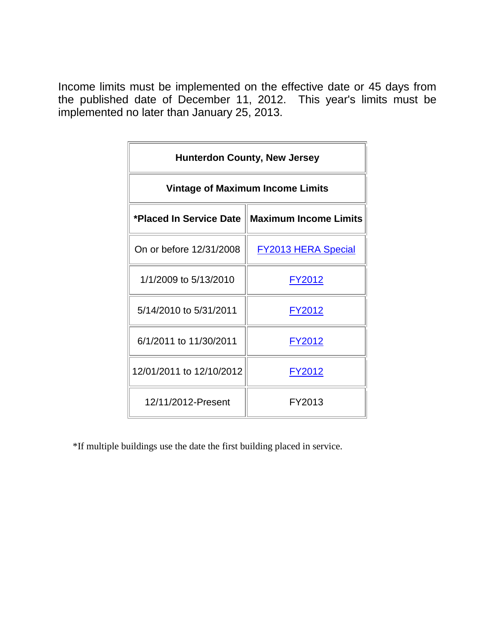| <b>Hunterdon County, New Jersey</b>     |                                                  |  |  |  |  |  |
|-----------------------------------------|--------------------------------------------------|--|--|--|--|--|
| <b>Vintage of Maximum Income Limits</b> |                                                  |  |  |  |  |  |
|                                         | *Placed In Service Date    Maximum Income Limits |  |  |  |  |  |
| On or before 12/31/2008                 | <b>FY2013 HERA Special</b>                       |  |  |  |  |  |
| 1/1/2009 to 5/13/2010                   | FY2012                                           |  |  |  |  |  |
| 5/14/2010 to 5/31/2011                  | <b>FY2012</b>                                    |  |  |  |  |  |
| 6/1/2011 to 11/30/2011                  | FY2012                                           |  |  |  |  |  |
| 12/01/2011 to 12/10/2012                | <u>FY2012</u>                                    |  |  |  |  |  |
| 12/11/2012-Present                      | FY2013                                           |  |  |  |  |  |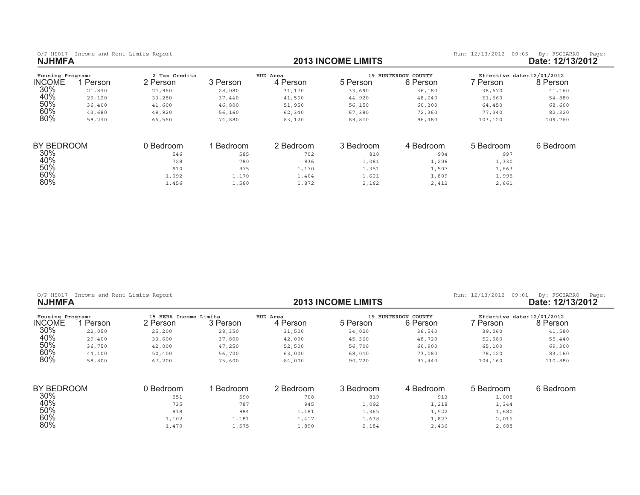| O/P HS017 Income and Rent Limits Report |  |  |  |
|-----------------------------------------|--|--|--|
| <b>NJHMFA</b>                           |  |  |  |

 $60%$ 

 $80\%$ 

0/P HS017 Income and Rent Limits Report **and Report and Report of the State: 12/13/2013 INCOME LIMITS <b>by:** FSCIARRO Page: 12/13/2012<br>**2013 INCOME LIMITS Date: 12/13/2012** 

| Housing Program:<br>INCOME | Person | 2 Tax Credits<br>2 Person | 3 Person | HUD Area<br>4 Person | 5 Person  | 19 HUNTERDON COUNTY<br>6 Person | Effective date: 12/01/2012<br>' Person | 8 Person  |
|----------------------------|--------|---------------------------|----------|----------------------|-----------|---------------------------------|----------------------------------------|-----------|
| 30%                        | 21,840 | 24,960                    | 28,080   | 31,170               | 33,690    | 36,180                          | 38,670                                 | 41,160    |
| 40%                        | 29,120 | 33,280                    | 37,440   | 41,560               | 44,920    | 48,240                          | 51,560                                 | 54,880    |
| 50%                        | 36,400 | 41,600                    | 46,800   | 51,950               | 56,150    | 60,300                          | 64,450                                 | 68,600    |
| 60%                        | 43,680 | 49,920                    | 56,160   | 62,340               | 67,380    | 72,360                          | 77,340                                 | 82,320    |
| 80%                        | 58,240 | 66,560                    | 74,880   | 83,120               | 89,840    | 96,480                          | 103,120                                | 109,760   |
| BY BEDROOM                 |        | 0 Bedroom                 | Bedroom  | 2 Bedroom            | 3 Bedroom | 4 Bedroom                       | 5 Bedroom                              | 6 Bedroom |
| 30%                        |        | 546                       | 585      | 702                  | 810       | 904                             | 997                                    |           |
| 40%                        |        | 728                       | 780      | 936                  | 1,081     | 1,206                           | 1,330                                  |           |
| 50%                        |        | 910                       | 975      | 1,170                | 1,351     | 1,507                           | 1,663                                  |           |
| 60%                        |        | 1,092                     | 1,170    | 1,404                | 1,621     | 1,809                           | 1,995                                  |           |
| 80%                        |        | 1,456                     | 1,560    | 1,872                | 2,162     | 2,412                           | 2,661                                  |           |

| $O/P$ HS017<br><b>NJHMFA</b>      | Income and Rent Limits Report |                                   |          |                      | <b>2013 INCOME LIMITS</b> |                                        | Run: 12/13/2012<br>09:01                | By: FSCIARRO<br>Page:<br>Date: 12/13/2012 |
|-----------------------------------|-------------------------------|-----------------------------------|----------|----------------------|---------------------------|----------------------------------------|-----------------------------------------|-------------------------------------------|
| Housing Program:<br><b>INCOME</b> | Person                        | 15 HERA Income Limits<br>2 Person | 3 Person | HUD Area<br>4 Person | 19<br>5 Person            | COUNTY<br><b>HUNTERDON</b><br>6 Person | Effective date: 12/01/2012<br>7 Person. | 8 Person                                  |
| 30%                               | 22,050                        | 25,200                            | 28,350   | 31,500               | 34,020                    | 36,540                                 | 39,060                                  | 41,580                                    |
| 40%                               | 29,400                        | 33,600                            | 37,800   | 42,000               | 45,360                    | 48,720                                 | 52,080                                  | 55,440                                    |
| 50%                               | 36,750                        | 42,000                            | 47,250   | 52,500               | 56,700                    | 60,900                                 | 65,100                                  | 69,300                                    |
| 60%                               | 44,100                        | 50,400                            | 56,700   | 63,000               | 68,040                    | 73,080                                 | 78,120                                  | 83,160                                    |
| 80%                               | 58,800                        | 67,200                            | 75,600   | 84,000               | 90,720                    | 97,440                                 | 104,160                                 | 110,880                                   |
| BY BEDROOM                        |                               | 0 Bedroom                         | Bedroom  | 2 Bedroom            | 3 Bedroom                 | 4 Bedroom                              | 5 Bedroom                               | 6 Bedroom                                 |
| 30%                               |                               | 551                               | 590      | 708                  | 819                       | 913                                    | 1,008                                   |                                           |
| 40%                               |                               | 735                               | 787      | 945                  | 1,092                     | 1,218                                  | 1,344                                   |                                           |
| 50%                               |                               | 918                               | 984      | 1,181                | 1,365                     | 1,522                                  | 1,680                                   |                                           |

 $\frac{1}{102}$  ,  $\frac{1}{102}$  ,  $\frac{1}{103}$  ,  $\frac{1}{101}$  ,  $\frac{1}{101}$  ,  $\frac{1}{101}$  ,  $\frac{1}{101}$  ,  $\frac{1}{101}$  ,  $\frac{1}{101}$  ,  $\frac{1}{101}$  ,  $\frac{1}{101}$  ,  $\frac{1}{101}$  ,  $\frac{1}{101}$  ,  $\frac{1}{101}$  ,  $\frac{1}{101}$  ,  $\frac{1}{101}$ 

 $\frac{1}{40}$ ,  $\frac{1}{40}$ ,  $\frac{1}{40}$ ,  $\frac{1}{40}$ ,  $\frac{1}{40}$ ,  $\frac{1}{40}$ ,  $\frac{1}{40}$ ,  $\frac{1}{40}$ ,  $\frac{1}{40}$ ,  $\frac{1}{40}$ ,  $\frac{1}{40}$ ,  $\frac{1}{40}$ ,  $\frac{1}{40}$ ,  $\frac{1}{40}$ ,  $\frac{1}{40}$ ,  $\frac{1}{40}$ ,  $\frac{1}{40}$ ,  $\frac{1}{40}$ ,  $\frac{1$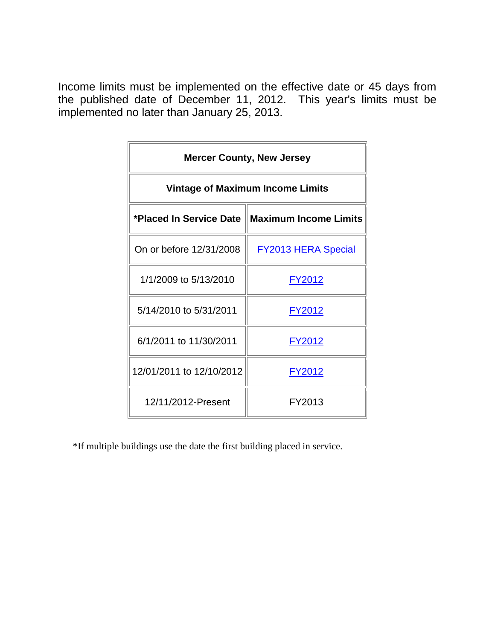| <b>Mercer County, New Jersey</b>        |                                                  |  |  |  |  |  |  |
|-----------------------------------------|--------------------------------------------------|--|--|--|--|--|--|
| <b>Vintage of Maximum Income Limits</b> |                                                  |  |  |  |  |  |  |
|                                         | *Placed In Service Date    Maximum Income Limits |  |  |  |  |  |  |
| On or before 12/31/2008                 | <b>FY2013 HERA Special</b>                       |  |  |  |  |  |  |
| 1/1/2009 to 5/13/2010                   | <u>FY2012</u>                                    |  |  |  |  |  |  |
| 5/14/2010 to 5/31/2011                  | FY2012                                           |  |  |  |  |  |  |
| 6/1/2011 to 11/30/2011                  | FY2012                                           |  |  |  |  |  |  |
| 12/01/2011 to 12/10/2012                | <u>FY2012</u>                                    |  |  |  |  |  |  |
| 12/11/2012-Present                      | FY2013                                           |  |  |  |  |  |  |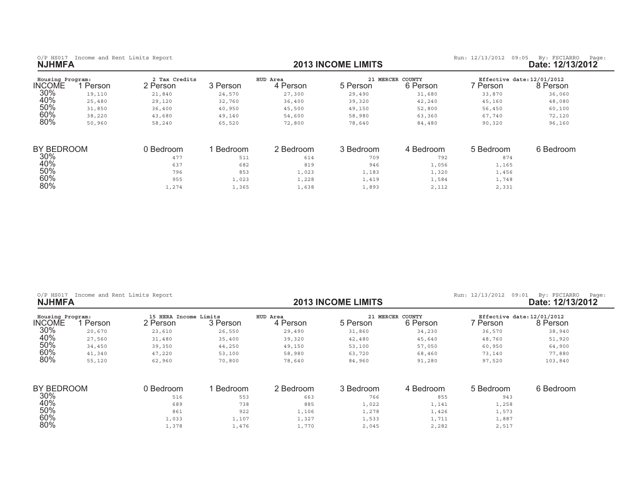0/P HS017 Income and Rent Limits Report **and Report and Report of the State: 12/13/2013 INCOME LIMITS <b>by:** FSCIARRO Page: 12/13/2012<br>**2013 INCOME LIMITS Date: 12/13/2012** 

| Housing Program: |        | 2 Tax Credits |          | HUD Area  | 21 MERCER | <b>COUNTY</b> | Effective date: 12/01/2012 |           |
|------------------|--------|---------------|----------|-----------|-----------|---------------|----------------------------|-----------|
| <b>INCOME</b>    | Person | 2 Person      | 3 Person | 4 Person  | 5 Person  | 6 Person      | 7 Person                   | 8 Person  |
| 30%              | 19,110 | 21,840        | 24,570   | 27,300    | 29,490    | 31,680        | 33,870                     | 36,060    |
| 40%              | 25,480 | 29,120        | 32,760   | 36,400    | 39,320    | 42,240        | 45,160                     | 48,080    |
| 50%              | 31,850 | 36,400        | 40,950   | 45,500    | 49,150    | 52,800        | 56,450                     | 60,100    |
| 60%              | 38,220 | 43,680        | 49,140   | 54,600    | 58,980    | 63,360        | 67,740                     | 72,120    |
| 80%              | 50,960 | 58,240        | 65,520   | 72,800    | 78,640    | 84,480        | 90,320                     | 96,160    |
| BY BEDROOM       |        | 0 Bedroom     | Bedroom  | 2 Bedroom | 3 Bedroom | 4 Bedroom     | 5 Bedroom                  | 6 Bedroom |
| 30%              |        |               |          |           |           |               |                            |           |
|                  |        | 477           | 511      | 614       | 709       | 792           | 874                        |           |
| 40%              |        | 637           | 682      | 819       | 946       | 1,056         | 1,165                      |           |
| 50%              |        | 796           | 853      | 1,023     | 1,183     | 1,320         | 1,456                      |           |
| 60%              |        | 955           | 1,023    | 1,228     | 1,419     | 1,584         | 1,748                      |           |
| 80%              |        | 1,274         | 1,365    | 1,638     | 1,893     | 2,112         | 2,331                      |           |

| $O/P$ HS017<br><b>NJHMFA</b>      | Income and Rent Limits Report |                                   |          |                      | <b>2013 INCOME LIMITS</b> |                              | Run: 12/13/2012<br>09:01               | By: FSCIARRO<br>Page:<br>Date: 12/13/2012 |
|-----------------------------------|-------------------------------|-----------------------------------|----------|----------------------|---------------------------|------------------------------|----------------------------------------|-------------------------------------------|
| Housing Program:<br><b>INCOME</b> | Person                        | 15 HERA Income Limits<br>2 Person | 3 Person | HUD Area<br>4 Person | 5 Person                  | 21 MERCER COUNTY<br>6 Person | Effective date: 12/01/2012<br>7 Person | 8 Person                                  |
| 30%                               | 20,670                        | 23,610                            | 26,550   | 29,490               | 31,860                    | 34,230                       | 36,570                                 | 38,940                                    |
| 40%                               | 27,560                        | 31,480                            | 35,400   | 39,320               | 42,480                    | 45,640                       | 48,760                                 | 51,920                                    |
| 50%                               | 34,450                        | 39,350                            | 44,250   | 49,150               | 53,100                    | 57,050                       | 60,950                                 | 64,900                                    |
| 60%                               | 41,340                        | 47,220                            | 53,100   | 58,980               | 63,720                    | 68,460                       | 73,140                                 | 77,880                                    |
| 80%                               | 55,120                        | 62,960                            | 70,800   | 78,640               | 84,960                    | 91,280                       | 97,520                                 | 103,840                                   |
| BY BEDROOM                        |                               | 0 Bedroom                         | Bedroom  | 2 Bedroom            | 3 Bedroom                 | 4 Bedroom                    | 5 Bedroom                              | 6 Bedroom                                 |
| 30%                               |                               | 516                               | 553      | 663                  | 766                       | 855                          | 943                                    |                                           |
| 40%                               |                               | 689                               | 738      | 885                  | 1,022                     | 1,141                        | 1,258                                  |                                           |
| 50%                               |                               | 861                               | 922      | 1,106                | 1,278                     | 1,426                        | 1,573                                  |                                           |
| 60%                               |                               | 1,033                             | 1,107    | 1,327                | 1,533                     | 1,711                        | 1,887                                  |                                           |
| 80%                               |                               | 1,378                             | 1,476    | 1,770                | 2,045                     | 2,282                        | 2,517                                  |                                           |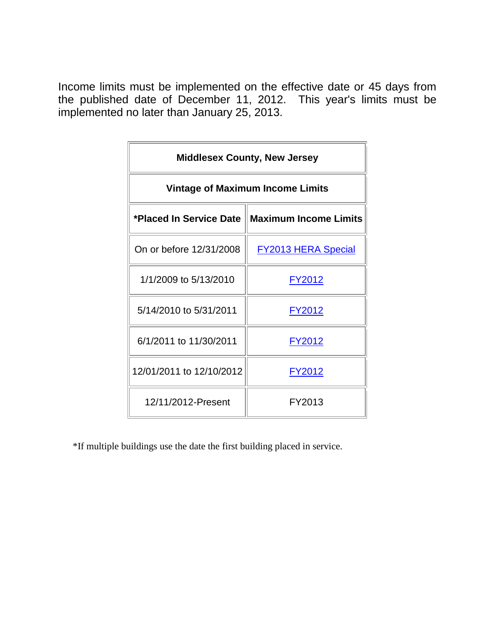| <b>Middlesex County, New Jersey</b>     |                                                  |  |  |  |  |  |
|-----------------------------------------|--------------------------------------------------|--|--|--|--|--|
| <b>Vintage of Maximum Income Limits</b> |                                                  |  |  |  |  |  |
|                                         | *Placed In Service Date    Maximum Income Limits |  |  |  |  |  |
| On or before 12/31/2008                 | <b>FY2013 HERA Special</b>                       |  |  |  |  |  |
| 1/1/2009 to 5/13/2010                   | <u>FY2012</u>                                    |  |  |  |  |  |
| 5/14/2010 to 5/31/2011                  | <u>FY2012</u>                                    |  |  |  |  |  |
| 6/1/2011 to 11/30/2011                  | FY2012                                           |  |  |  |  |  |
| 12/01/2011 to 12/10/2012                | <u>FY2012</u>                                    |  |  |  |  |  |
| 12/11/2012-Present                      | FY2013                                           |  |  |  |  |  |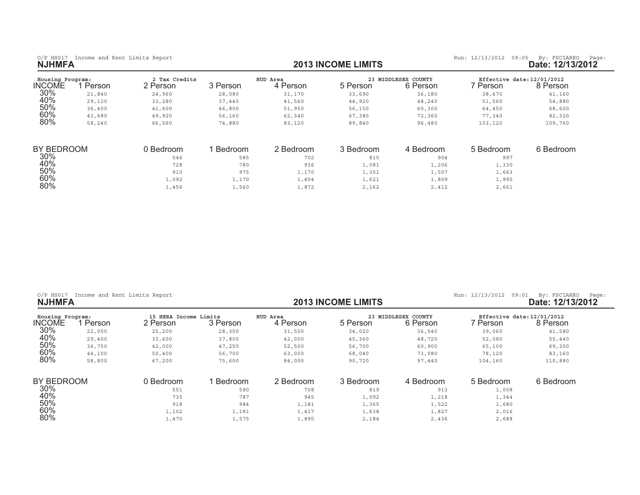| Housing Program:  |        | 2 Tax Credits |          | HUD Area  |           | 23 MIDDLESEX COUNTY | Effective date: 12/01/2012 |           |
|-------------------|--------|---------------|----------|-----------|-----------|---------------------|----------------------------|-----------|
| <b>INCOME</b>     | Person | 2 Person      | 3 Person | 4 Person  | 5 Person  | 6 Person            | 7 Person                   | 8 Person  |
| 30%               | 21,840 | 24,960        | 28,080   | 31,170    | 33,690    | 36,180              | 38,670                     | 41,160    |
| 40%               | 29,120 | 33,280        | 37,440   | 41,560    | 44,920    | 48,240              | 51,560                     | 54,880    |
| 50%               | 36,400 | 41,600        | 46,800   | 51,950    | 56,150    | 60,300              | 64,450                     | 68,600    |
| 60%               | 43,680 | 49,920        | 56,160   | 62,340    | 67,380    | 72,360              | 77,340                     | 82,320    |
| 80%               | 58,240 | 66,560        | 74,880   | 83,120    | 89,840    | 96,480              | 103,120                    | 109,760   |
| <b>BY BEDROOM</b> |        | 0 Bedroom     | Bedroom  | 2 Bedroom | 3 Bedroom | 4 Bedroom           | 5 Bedroom                  | 6 Bedroom |
| 30%               |        | 546           | 585      | 702       | 810       | 904                 | 997                        |           |
| 40%               |        | 728           | 780      | 936       |           |                     |                            |           |
|                   |        |               |          |           | 1,081     | 1,206               | 1,330                      |           |
| 50%               |        | 910           | 975      | 1,170     | 1,351     | 1,507               | 1,663                      |           |
| 60%               |        | 1,092         | 1,170    | 1,404     | 1,621     | 1,809               | 1,995                      |           |

 $\frac{1}{160}$  ,  $\frac{1}{160}$  ,  $\frac{1}{160}$  ,  $\frac{1}{160}$  ,  $\frac{1}{160}$  ,  $\frac{1}{160}$  ,  $\frac{1}{160}$  ,  $\frac{1}{160}$  ,  $\frac{1}{160}$  ,  $\frac{1}{160}$  ,  $\frac{1}{160}$  ,  $\frac{1}{160}$  ,  $\frac{1}{160}$  ,  $\frac{1}{160}$  ,  $\frac{1}{160}$  ,  $\frac{1}{160}$ 

|  | $O/P$ HS017 |  |  |  | Income and Rent Limits Report |  |
|--|-------------|--|--|--|-------------------------------|--|
|--|-------------|--|--|--|-------------------------------|--|

 $80%$ 

0/P HS017 Income and Rent Limits Report **12/13/2012** (P HS017 Income and Rent Limits Report **income and Report 12/13/2012** (Page: 12/13/2012 (Page: 12/13/2012 (Page: 12/13/2012 (Page: 12/13/2012 (Page: 12/13/2012 (Page: 12

| Housing Program: |        | HERA Income Limits<br>15 |          | HUD Area  | 23        | MIDDLESEX COUNTY | Effective date: 12/01/2012 |           |
|------------------|--------|--------------------------|----------|-----------|-----------|------------------|----------------------------|-----------|
| <b>INCOME</b>    | Person | 2 Person                 | 3 Person | 4 Person  | 5 Person  | 6 Person         | ' Person                   | 8 Person  |
| 30%              | 22,050 | 25,200                   | 28,350   | 31,500    | 34,020    | 36,540           | 39,060                     | 41,580    |
| 40%              | 29,400 | 33,600                   | 37,800   | 42,000    | 45,360    | 48,720           | 52,080                     | 55,440    |
| 50%              | 36,750 | 42,000                   | 47,250   | 52,500    | 56,700    | 60,900           | 65,100                     | 69,300    |
| 60%              | 44,100 | 50,400                   | 56,700   | 63,000    | 68,040    | 73,080           | 78,120                     | 83,160    |
| 80%              | 58,800 | 67,200                   | 75,600   | 84,000    | 90,720    | 97,440           | 104,160                    | 110,880   |
| BY BEDROOM       |        | 0 Bedroom                | Bedroom  | 2 Bedroom | 3 Bedroom | 4 Bedroom        | 5 Bedroom                  | 6 Bedroom |
| 30%              |        | 551                      | 590      | 708       | 819       | 913              | 1,008                      |           |
| 40%              |        | 735                      | 787      | 945       | 1,092     | 1,218            | 1,344                      |           |
| 50%              |        | 918                      | 984      | 1,181     | 1,365     | 1,522            | 1,680                      |           |
| 60%              |        | 1,102                    | 1,181    | 1,417     | 1,638     | 1,827            | 2,016                      |           |
| 80%              |        | 1,470                    | 1,575    | 1,890     | 2,184     | 2,436            | 2,688                      |           |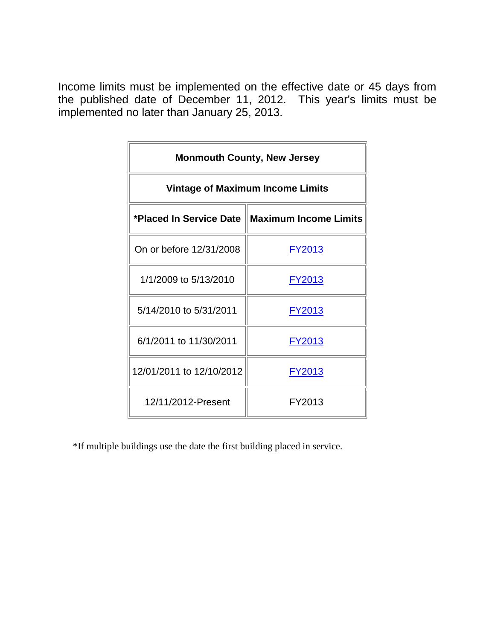| <b>Monmouth County, New Jersey</b>               |               |  |  |  |  |  |
|--------------------------------------------------|---------------|--|--|--|--|--|
| <b>Vintage of Maximum Income Limits</b>          |               |  |  |  |  |  |
| *Placed In Service Date    Maximum Income Limits |               |  |  |  |  |  |
| On or before 12/31/2008                          | <u>FY2013</u> |  |  |  |  |  |
| 1/1/2009 to 5/13/2010                            | <u>FY2013</u> |  |  |  |  |  |
| 5/14/2010 to 5/31/2011                           | <u>FY2013</u> |  |  |  |  |  |
| 6/1/2011 to 11/30/2011                           | FY2013        |  |  |  |  |  |
| 12/01/2011 to 12/10/2012                         | FY2013        |  |  |  |  |  |
| 12/11/2012-Present                               | FY2013        |  |  |  |  |  |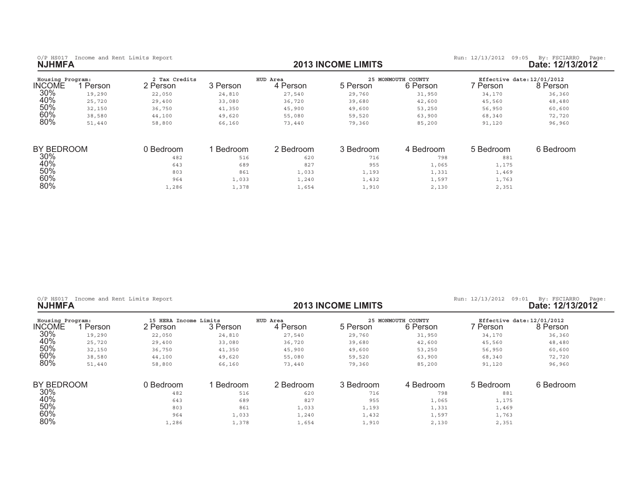| Housing Program: |        | 2 Tax Credits |          | HUD Area  |           | 25 MONMOUTH COUNTY | Effective date: 12/01/2012 |           |
|------------------|--------|---------------|----------|-----------|-----------|--------------------|----------------------------|-----------|
| <b>INCOME</b>    | Person | 2 Person      | 3 Person | 4 Person  | 5 Person  | 6 Person           | 7 Person                   | 8 Person  |
| 30%              | 19,290 | 22,050        | 24,810   | 27,540    | 29,760    | 31,950             | 34,170                     | 36,360    |
| 40%              | 25,720 | 29,400        | 33,080   | 36,720    | 39,680    | 42,600             | 45,560                     | 48,480    |
| 50%              | 32,150 | 36,750        | 41,350   | 45,900    | 49,600    | 53,250             | 56,950                     | 60,600    |
| 60%              | 38,580 | 44,100        | 49,620   | 55,080    | 59,520    | 63,900             | 68,340                     | 72,720    |
| 80%              | 51,440 | 58,800        | 66,160   | 73,440    | 79,360    | 85,200             | 91,120                     | 96,960    |
|                  |        |               |          |           |           |                    |                            |           |
| BY BEDROOM       |        | 0 Bedroom     | Bedroom  | 2 Bedroom | 3 Bedroom | 4 Bedroom          | 5 Bedroom                  | 6 Bedroom |
| 30%              |        | 482           | 516      | 620       | 716       | 798                | 881                        |           |
| 40%              |        | 643           | 689      | 827       | 955       | 1,065              | 1,175                      |           |
| 50%              |        | 803           | 861      | 1,033     | 1,193     | 1,331              | 1,469                      |           |
| 60%              |        | 964           | 1,033    | 1,240     | 1,432     | 1,597              | 1,763                      |           |

 $\frac{1}{2}$ ,  $\frac{1}{2}$ ,  $\frac{286}{1}$  ,  $\frac{1}{378}$  ,  $\frac{1}{654}$  ,  $\frac{1}{910}$  ,  $\frac{2}{130}$  ,  $\frac{2}{351}$ 

|               |  |  | O/P HS017 Income and Rent Limits Report |
|---------------|--|--|-----------------------------------------|
| <b>NJHMFA</b> |  |  |                                         |

 $80%$ 

## 0/P HS017 Income and Rent Limits Report **12/13/2012** (P HS017 Income and Rent Limits Report **income and Report 12/13/2012** (Page: 12/13/2012 (Page: 12/13/2012 (Page: 12/13/2012 (Page: 12/13/2012 (Page: 12/13/2012 (Page: 12

| Housing Program: |        | 15 HERA Income Limits |          | HUD Area  |           | 25 MONMOUTH COUNTY |           | Effective date: 12/01/2012 |  |
|------------------|--------|-----------------------|----------|-----------|-----------|--------------------|-----------|----------------------------|--|
| <b>INCOME</b>    | Person | 2 Person              | 3 Person | 4 Person  | 5 Person  | 6 Person           | ' Person  | 8 Person                   |  |
| 30%              | 19,290 | 22,050                | 24,810   | 27,540    | 29,760    | 31,950             | 34,170    | 36,360                     |  |
| 40%              | 25,720 | 29,400                | 33,080   | 36,720    | 39,680    | 42,600             | 45,560    | 48,480                     |  |
| 50%              | 32,150 | 36,750                | 41,350   | 45,900    | 49,600    | 53,250             | 56,950    | 60,600                     |  |
| 60%              | 38,580 | 44,100                | 49,620   | 55,080    | 59,520    | 63,900             | 68,340    | 72,720                     |  |
| 80%              | 51,440 | 58,800                | 66,160   | 73,440    | 79,360    | 85,200             | 91,120    | 96,960                     |  |
| BY BEDROOM       |        | 0 Bedroom             | Bedroom  | 2 Bedroom | 3 Bedroom | 4 Bedroom          | 5 Bedroom | 6 Bedroom                  |  |
| 30%              |        | 482                   | 516      | 620       | 716       | 798                | 881       |                            |  |
| 40%              |        | 643                   | 689      | 827       | 955       | 1,065              | 1,175     |                            |  |
| 50%              |        | 803                   | 861      | 1,033     | 1,193     | 1,331              | 1,469     |                            |  |
| 60%              |        | 964                   | 1,033    | 1,240     | 1,432     | 1,597              | 1,763     |                            |  |
| 80%              |        | 1,286                 | 1,378    | 1,654     | 1,910     | 2,130              | 2,351     |                            |  |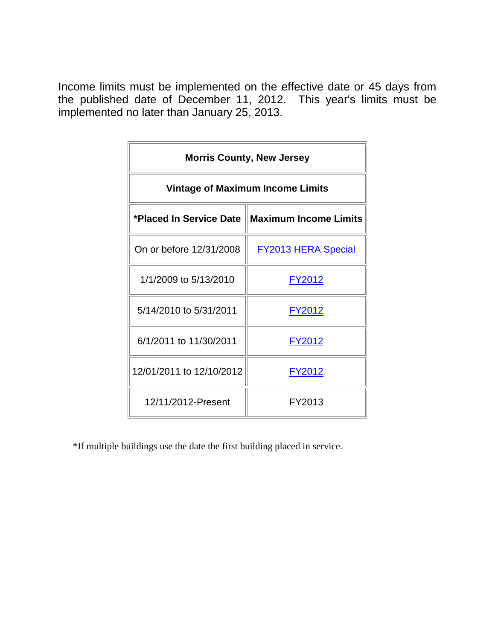| <b>Morris County, New Jersey</b>        |                                                  |  |  |  |  |  |
|-----------------------------------------|--------------------------------------------------|--|--|--|--|--|
| <b>Vintage of Maximum Income Limits</b> |                                                  |  |  |  |  |  |
|                                         | *Placed In Service Date    Maximum Income Limits |  |  |  |  |  |
| On or before 12/31/2008                 | <b>FY2013 HERA Special</b>                       |  |  |  |  |  |
| 1/1/2009 to 5/13/2010                   | <u>FY2012</u>                                    |  |  |  |  |  |
| 5/14/2010 to 5/31/2011                  | FY2012                                           |  |  |  |  |  |
| 6/1/2011 to 11/30/2011                  | FY2012                                           |  |  |  |  |  |
| 12/01/2011 to 12/10/2012                | <u>FY2012</u>                                    |  |  |  |  |  |
| 12/11/2012-Present                      | FY2013                                           |  |  |  |  |  |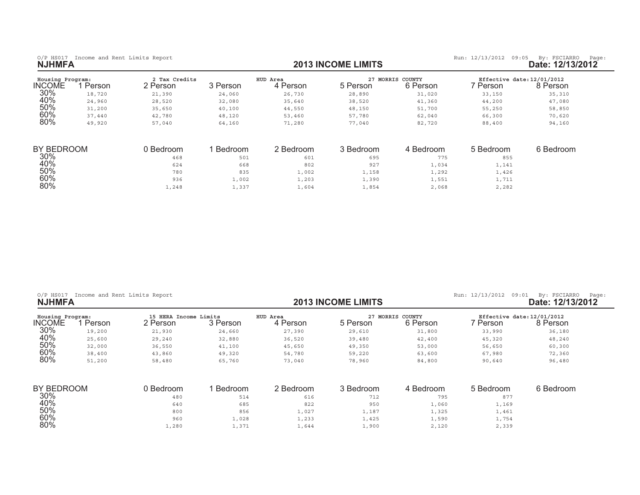0/P HS017 Income and Rent Limits Report **and Report and Report of the State: 12/13/2013 INCOME LIMITS <b>by:** FSCIARRO Page: 12/13/2012<br>**2013 INCOME LIMITS Date: 12/13/2012** 

| Housing Program: |        | 2 Tax Credits<br>2 Person |          | HUD Area  | 27 MORRIS | COUNTY    | Effective date: 12/01/2012 |           |
|------------------|--------|---------------------------|----------|-----------|-----------|-----------|----------------------------|-----------|
| <b>INCOME</b>    | Person |                           | 3 Person | 4 Person  | 5 Person  | 6 Person  | 7 Person.                  | 8 Person  |
| 30%              | 18,720 | 21,390                    | 24,060   | 26,730    | 28,890    | 31,020    | 33,150                     | 35,310    |
| 40%              | 24,960 | 28,520                    | 32,080   | 35,640    | 38,520    | 41,360    | 44,200                     | 47,080    |
| 50%              | 31,200 | 35,650                    | 40,100   | 44,550    | 48,150    | 51,700    | 55,250                     | 58,850    |
| 60%              | 37,440 | 42,780                    | 48,120   | 53,460    | 57,780    | 62,040    | 66,300                     | 70,620    |
| 80%              | 49,920 | 57,040                    | 64,160   | 71,280    | 77,040    | 82,720    | 88,400                     | 94,160    |
| BY BEDROOM       |        | 0 Bedroom                 | Bedroom  | 2 Bedroom | 3 Bedroom | 4 Bedroom | 5 Bedroom                  | 6 Bedroom |
|                  |        |                           |          |           |           |           |                            |           |
| 30%              |        | 468                       | 501      | 601       | 695       | 775       | 855                        |           |
| 40%              |        | 624                       | 668      | 802       | 927       | 1,034     | 1,141                      |           |
| 50%              |        | 780                       | 835      | 1,002     | 1,158     | 1,292     | 1,426                      |           |
| 60%              |        | 936                       | 1,002    | 1,203     | 1,390     | 1,551     | 1,711                      |           |
| 80%              |        | 1,248                     | 1,337    | 1,604     | 1,854     | 2,068     | 2,282                      |           |

| Income and Rent Limits Report<br>$O/P$ HS017<br><b>NJHMFA</b> |        |                                   |          |                      | <b>2013 INCOME LIMITS</b> | Run: 12/13/2012<br>09:01     | By: FSCIARRO<br>Page:<br>Date: 12/13/2012 |           |
|---------------------------------------------------------------|--------|-----------------------------------|----------|----------------------|---------------------------|------------------------------|-------------------------------------------|-----------|
| Housing Program:<br><b>INCOME</b>                             | Person | 15 HERA Income Limits<br>2 Person | 3 Person | HUD Area<br>4 Person | 5 Person                  | 27 MORRIS COUNTY<br>6 Person | Effective date: 12/01/2012<br>7 Person    | 8 Person  |
| 30%                                                           | 19,200 | 21,930                            | 24,660   | 27,390               | 29,610                    | 31,800                       | 33,990                                    | 36,180    |
| 40%                                                           | 25,600 | 29,240                            | 32,880   | 36,520               | 39,480                    | 42,400                       | 45,320                                    | 48,240    |
| 50%                                                           | 32,000 | 36,550                            | 41,100   | 45,650               | 49,350                    | 53,000                       | 56,650                                    | 60,300    |
| 60%                                                           | 38,400 | 43,860                            | 49,320   | 54,780               | 59,220                    | 63,600                       | 67,980                                    | 72,360    |
| 80%                                                           | 51,200 | 58,480                            | 65,760   | 73,040               | 78,960                    | 84,800                       | 90,640                                    | 96,480    |
| BY BEDROOM                                                    |        | 0 Bedroom                         | Bedroom  | 2 Bedroom            | 3 Bedroom                 | 4 Bedroom                    | 5 Bedroom                                 | 6 Bedroom |
| 30%                                                           |        | 480                               | 514      | 616                  | 712                       | 795                          | 877                                       |           |
| 40%                                                           |        | 640                               | 685      | 822                  | 950                       | 1,060                        | 1,169                                     |           |
| 50%                                                           |        | 800                               | 856      | 1,027                | 1,187                     | 1,325                        | 1,461                                     |           |
| 60%                                                           |        | 960                               | 1,028    | 1,233                | 1,425                     | 1,590                        | 1,754                                     |           |
| 80%                                                           |        | 1,280                             | 1,371    | 1,644                | 1,900                     | 2,120                        | 2,339                                     |           |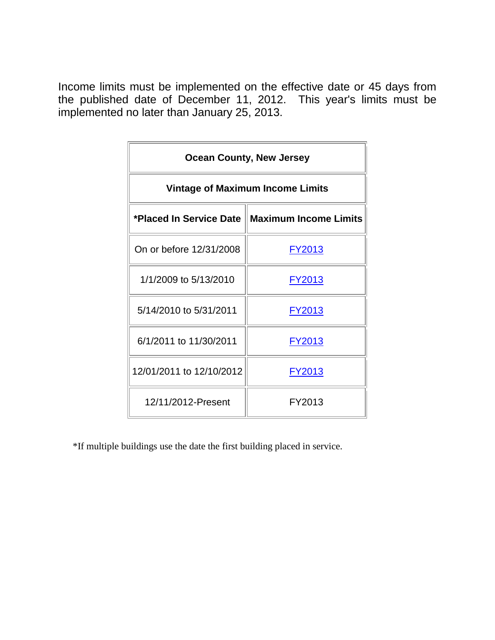| <b>Ocean County, New Jersey</b>                  |               |  |  |  |  |  |
|--------------------------------------------------|---------------|--|--|--|--|--|
| <b>Vintage of Maximum Income Limits</b>          |               |  |  |  |  |  |
| *Placed In Service Date    Maximum Income Limits |               |  |  |  |  |  |
| On or before 12/31/2008                          | FY2013        |  |  |  |  |  |
| 1/1/2009 to 5/13/2010                            | <u>FY2013</u> |  |  |  |  |  |
| 5/14/2010 to 5/31/2011                           | FY2013        |  |  |  |  |  |
| 6/1/2011 to 11/30/2011                           | FY2013        |  |  |  |  |  |
| 12/01/2011 to 12/10/2012                         | FY2013        |  |  |  |  |  |
| 12/11/2012-Present                               | FY2013        |  |  |  |  |  |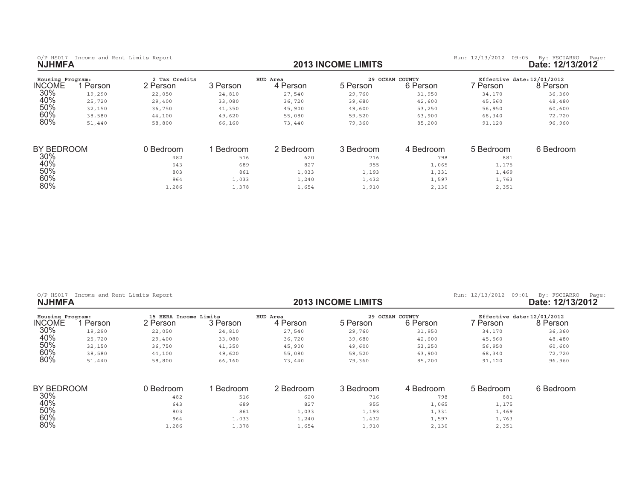0/P HS017 Income and Rent Limits Report **and Report and Report of the State: 12/13/2013 INCOME LIMITS <b>by:** FSCIARRO Page: 12/13/2012<br>**2013 INCOME LIMITS Date: 12/13/2012** 

| Housing Program:<br><b>INCOME</b> | Person | 2 Tax Credits<br>2 Person | 3 Person | HUD Area<br>4 Person | 5 Person  | 29 OCEAN COUNTY<br>6 Person | Effective date: 12/01/2012<br>7 Person | 8 Person  |
|-----------------------------------|--------|---------------------------|----------|----------------------|-----------|-----------------------------|----------------------------------------|-----------|
|                                   |        |                           |          |                      |           |                             |                                        |           |
| 30%                               | 19,290 | 22,050                    | 24,810   | 27,540               | 29,760    | 31,950                      | 34,170                                 | 36,360    |
| 40%                               | 25,720 | 29,400                    | 33,080   | 36,720               | 39,680    | 42,600                      | 45,560                                 | 48,480    |
| 50%                               | 32,150 | 36,750                    | 41,350   | 45,900               | 49,600    | 53,250                      | 56,950                                 | 60,600    |
| 60%                               | 38,580 | 44,100                    | 49,620   | 55,080               | 59,520    | 63,900                      | 68,340                                 | 72,720    |
| 80%                               | 51,440 | 58,800                    | 66,160   | 73,440               | 79,360    | 85,200                      | 91,120                                 | 96,960    |
| BY BEDROOM                        |        | 0 Bedroom                 | Bedroom  | 2 Bedroom            | 3 Bedroom | 4 Bedroom                   | 5 Bedroom                              | 6 Bedroom |
| 30%                               |        | 482                       | 516      | 620                  | 716       | 798                         | 881                                    |           |
| 40%                               |        | 643                       | 689      | 827                  | 955       | 1,065                       | 1,175                                  |           |
| 50%                               |        | 803                       | 861      | 1,033                | 1,193     | 1,331                       | 1,469                                  |           |
| 60%                               |        | 964                       | 1,033    | 1,240                | 1,432     | 1,597                       | 1,763                                  |           |
| 80%                               |        | 1,286                     | 1,378    | 1,654                | 1,910     | 2,130                       | 2,351                                  |           |

| $O/P$ HS017<br><b>NJHMFA</b>      | Income and Rent Limits Report |                                   |          |                      | <b>2013 INCOME LIMITS</b> |                             | Run: 12/13/2012<br>09:01               | By: FSCIARRO<br>Page:<br>Date: 12/13/2012 |
|-----------------------------------|-------------------------------|-----------------------------------|----------|----------------------|---------------------------|-----------------------------|----------------------------------------|-------------------------------------------|
| Housing Program:<br><b>INCOME</b> | Person                        | 15 HERA Income Limits<br>2 Person | 3 Person | HUD Area<br>4 Person | 5 Person                  | 29 OCEAN COUNTY<br>6 Person | Effective date: 12/01/2012<br>7 Person | 8 Person                                  |
| 30%                               | 19,290                        | 22,050                            | 24,810   | 27,540               | 29,760                    | 31,950                      | 34,170                                 | 36,360                                    |
| 40%                               | 25,720                        | 29,400                            | 33,080   | 36,720               | 39,680                    | 42,600                      | 45,560                                 | 48,480                                    |
| 50%                               | 32,150                        | 36,750                            | 41,350   | 45,900               | 49,600                    | 53,250                      | 56,950                                 | 60,600                                    |
| 60%                               | 38,580                        | 44,100                            | 49,620   | 55,080               | 59,520                    | 63,900                      | 68,340                                 | 72,720                                    |
| 80%                               | 51,440                        | 58,800                            | 66,160   | 73,440               | 79,360                    | 85,200                      | 91,120                                 | 96,960                                    |
| BY BEDROOM                        |                               | 0 Bedroom                         | Bedroom  | 2 Bedroom            | 3 Bedroom                 | 4 Bedroom                   | 5 Bedroom                              | 6 Bedroom                                 |
| 30%                               |                               | 482                               | 516      | 620                  | 716                       | 798                         | 881                                    |                                           |
| 40%                               |                               | 643                               | 689      | 827                  | 955                       | 1,065                       | 1,175                                  |                                           |
| 50%                               |                               | 803                               | 861      | 1,033                | 1,193                     | 1,331                       | 1,469                                  |                                           |
| 60%                               |                               | 964                               | 1,033    | 1,240                | 1,432                     | 1,597                       | 1,763                                  |                                           |
| 80%                               |                               | 1,286                             | 1,378    | 1,654                | 1,910                     | 2,130                       | 2,351                                  |                                           |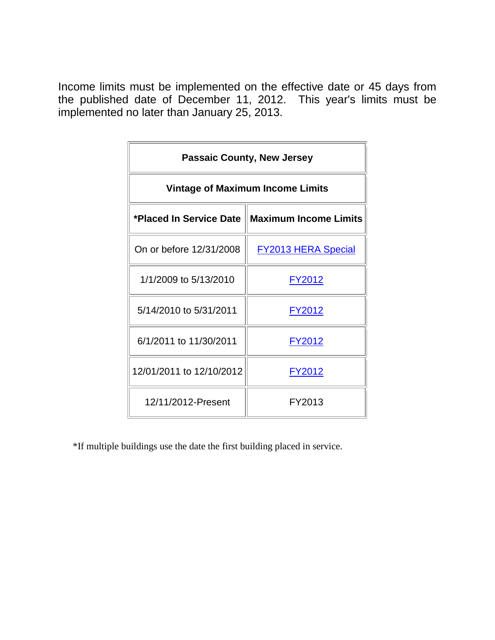| <b>Passaic County, New Jersey</b>       |                                                  |  |  |  |  |  |
|-----------------------------------------|--------------------------------------------------|--|--|--|--|--|
| <b>Vintage of Maximum Income Limits</b> |                                                  |  |  |  |  |  |
|                                         | *Placed In Service Date    Maximum Income Limits |  |  |  |  |  |
| On or before 12/31/2008                 | <b>FY2013 HERA Special</b>                       |  |  |  |  |  |
| 1/1/2009 to 5/13/2010                   | <u>FY2012</u>                                    |  |  |  |  |  |
| 5/14/2010 to 5/31/2011                  | FY2012                                           |  |  |  |  |  |
| 6/1/2011 to 11/30/2011                  | FY2012                                           |  |  |  |  |  |
| 12/01/2011 to 12/10/2012                | <u>FY2012</u>                                    |  |  |  |  |  |
| 12/11/2012-Present                      | FY2013                                           |  |  |  |  |  |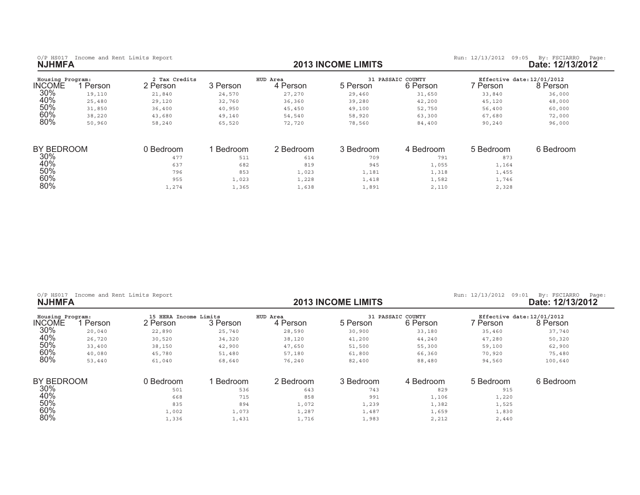| Housing Program:<br><b>INCOME</b> | Person | 2 Tax Credits<br>2 Person | 3 Person | HUD Area<br>4 Person | 5 Person  | <b>31 PASSAIC COUNTY</b><br>6 Person | Effective date: 12/01/2012<br>' Person | 8 Person  |
|-----------------------------------|--------|---------------------------|----------|----------------------|-----------|--------------------------------------|----------------------------------------|-----------|
| 30%                               | 19,110 | 21,840                    | 24,570   | 27,270               | 29,460    | 31,650                               | 33,840                                 | 36,000    |
| 40%                               | 25,480 | 29,120                    | 32,760   | 36,360               | 39,280    | 42,200                               | 45,120                                 | 48,000    |
| 50%                               | 31,850 | 36,400                    | 40,950   | 45,450               | 49,100    | 52,750                               | 56,400                                 | 60,000    |
| 60%                               | 38,220 | 43,680                    | 49,140   | 54,540               | 58,920    | 63,300                               | 67,680                                 | 72,000    |
| 80%                               | 50,960 | 58,240                    | 65,520   | 72,720               | 78,560    | 84,400                               | 90,240                                 | 96,000    |
| <b>BY BEDROOM</b>                 |        | 0 Bedroom                 | Bedroom  | 2 Bedroom            | 3 Bedroom | 4 Bedroom                            | 5 Bedroom                              | 6 Bedroom |
| 30%                               |        | 477                       | 511      | 614                  | 709       | 791                                  | 873                                    |           |
| 40%                               |        | 637                       | 682      | 819                  | 945       | 1,055                                | 1,164                                  |           |
| 50%                               |        | 796                       | 853      | 1,023                | 1,181     | 1,318                                | 1,455                                  |           |
| 60%                               |        | 955                       | 1,023    | 1,228                | 1,418     | 1,582                                | 1,746                                  |           |
| 80%                               |        | 1,274                     | 1,365    | 1,638                | 1,891     | 2,110                                | 2,328                                  |           |

 $1,274$   $1,365$   $1,638$   $1,891$   $2,110$   $2,328$ 

|  | $O/P$ HS017 |  |  |  | Income and Rent Limits Report |  |
|--|-------------|--|--|--|-------------------------------|--|
|--|-------------|--|--|--|-------------------------------|--|

0/P HS017 Income and Rent Limits Report **12/13/2012** COME LIMITS Run: 12/13/2012 09:01 By: FSCIARRO Page:<br>**2013 INCOME LIMITS** Run: 12/13/2012 Date: 12/13/2012 **Date: 12/13 INCOME LIMITS** 

| ate: 12/13/2012 |  |  |  |  |  |  |
|-----------------|--|--|--|--|--|--|
|-----------------|--|--|--|--|--|--|

| Housing Program: |        | 15 HERA Income Limits |          | HUD Area  | 31        | PASSAIC COUNTY | Effective date: 12/01/2012 |           |
|------------------|--------|-----------------------|----------|-----------|-----------|----------------|----------------------------|-----------|
| <b>INCOME</b>    | Person | 2 Person              | 3 Person | 4 Person  | 5 Person  | 6 Person       | 7 Person                   | 8 Person  |
| 30%              | 20,040 | 22,890                | 25,740   | 28,590    | 30,900    | 33,180         | 35,460                     | 37,740    |
| 40%              | 26,720 | 30,520                | 34,320   | 38,120    | 41,200    | 44,240         | 47,280                     | 50,320    |
| 50%              | 33,400 | 38,150                | 42,900   | 47,650    | 51,500    | 55,300         | 59,100                     | 62,900    |
| 60%              | 40,080 | 45,780                | 51,480   | 57,180    | 61,800    | 66,360         | 70,920                     | 75,480    |
| 80%              | 53,440 | 61,040                | 68,640   | 76,240    | 82,400    | 88,480         | 94,560                     | 100,640   |
| BY BEDROOM       |        | 0 Bedroom             | Bedroom  | 2 Bedroom | 3 Bedroom | 4 Bedroom      | 5 Bedroom                  | 6 Bedroom |
| $30\%$           |        | 501                   | 536      | 643       | 743       | 829            | 915                        |           |
| 40%              |        | 668                   | 715      | 858       | 991       | 1,106          | 1,220                      |           |
| 50%              |        | 835                   | 894      | 1,072     | 1,239     | 1,382          | 1,525                      |           |
| 60%              |        | 1,002                 | 1,073    | 1,287     | 1,487     | 1,659          | 1,830                      |           |
| 80%              |        | 1,336                 | 1,431    | 1,716     | 1,983     | 2,212          | 2,440                      |           |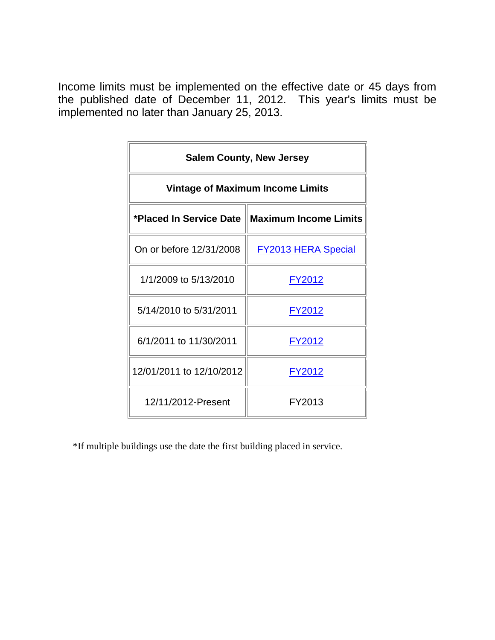| <b>Salem County, New Jersey</b>         |                                                  |  |  |  |  |  |
|-----------------------------------------|--------------------------------------------------|--|--|--|--|--|
| <b>Vintage of Maximum Income Limits</b> |                                                  |  |  |  |  |  |
|                                         | *Placed In Service Date    Maximum Income Limits |  |  |  |  |  |
| On or before 12/31/2008                 | <b>FY2013 HERA Special</b>                       |  |  |  |  |  |
| 1/1/2009 to 5/13/2010                   | <u>FY2012</u>                                    |  |  |  |  |  |
| 5/14/2010 to 5/31/2011                  | FY2012                                           |  |  |  |  |  |
| 6/1/2011 to 11/30/2011                  | FY2012                                           |  |  |  |  |  |
| 12/01/2011 to 12/10/2012                | FY2012                                           |  |  |  |  |  |
| 12/11/2012-Present                      | FY2013                                           |  |  |  |  |  |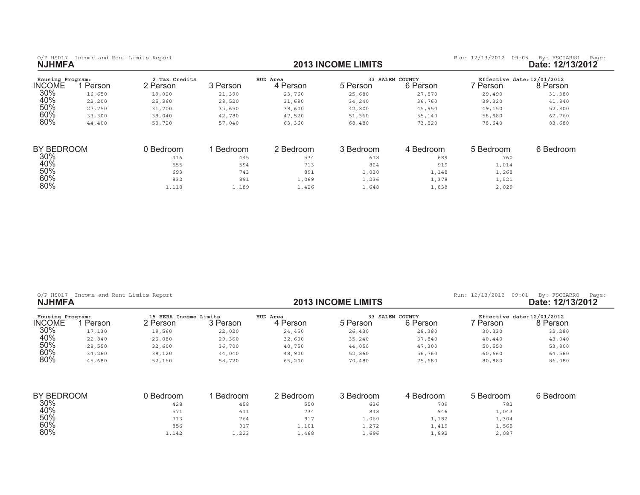1

0/P HS017 Income and Rent Limits Report **and Report and Report of the State: 12/13/2013 INCOME LIMITS <b>by:** FSCIARRO Page: 12/13/2012<br>**2013 INCOME LIMITS Date: 12/13/2012** 

| Housing Program: |        | 2 Tax Credits |          | HUD Area  |           | 33 SALEM COUNTY | Effective date: 12/01/2012 |           |
|------------------|--------|---------------|----------|-----------|-----------|-----------------|----------------------------|-----------|
| INCOME           | Person | 2 Person      | 3 Person | 4 Person  | 5 Person  | 6 Person        | Person                     | 8 Person  |
| 30%              | 16,650 | 19,020        | 21,390   | 23,760    | 25,680    | 27,570          | 29,490                     | 31,380    |
| 40%              | 22,200 | 25,360        | 28,520   | 31,680    | 34,240    | 36,760          | 39,320                     | 41,840    |
| 50%              | 27,750 | 31,700        | 35,650   | 39,600    | 42,800    | 45,950          | 49,150                     | 52,300    |
| 60%              | 33,300 | 38,040        | 42,780   | 47,520    | 51,360    | 55,140          | 58,980                     | 62,760    |
| 80%              | 44,400 | 50,720        | 57,040   | 63,360    | 68,480    | 73,520          | 78,640                     | 83,680    |
| BY BEDROOM       |        | 0 Bedroom     | Bedroom  | 2 Bedroom | 3 Bedroom | 4 Bedroom       | 5 Bedroom                  | 6 Bedroom |
| 30%              |        | 416           | 445      | 534       | 618       | 689             | 760                        |           |
| 40%              |        | 555           | 594      | 713       | 824       | 919             | 1,014                      |           |
| 50%              |        | 693           | 743      | 891       | 1,030     | 1,148           | 1,268                      |           |
| 60%              |        | 832           | 891      | 1,069     | 1,236     | 1,378           | 1,521                      |           |
| 80%              |        | 1,110         | 1,189    | 1,426     | 1,648     | 1,838           | 2,029                      |           |

| $O/P$ HS017<br>Income and Rent Limits Report<br><b>NJHMFA</b> |        |                                   |          | <b>2013 INCOME LIMITS</b> | Run: 12/13/2012<br>09:01 | By: FSCIARRO<br>Page:<br>Date: 12/13/2012 |          |                                        |
|---------------------------------------------------------------|--------|-----------------------------------|----------|---------------------------|--------------------------|-------------------------------------------|----------|----------------------------------------|
| Housing Program:<br>NCOME                                     | Person | 15 HERA Income Limits<br>2 Person | 3 Person | HUD Area<br>4 Person      | 5 Person                 | <b>33 SALEM COUNTY</b><br>6 Person        | ' Person | Effective date: 12/01/2012<br>8 Person |
| 30%                                                           | 17,130 | 19,560                            | 22,020   | 24,450                    | 26,430                   | 28,380                                    | 30,330   | 32,280                                 |
| 40%                                                           | 22,840 | 26,080                            | 29,360   | 32,600                    | 35,240                   | 37,840                                    | 40,440   | 43,040                                 |
| 50%                                                           | 28,550 | 32,600                            | 36,700   | 40,750                    | 44,050                   | 47,300                                    | 50,550   | 53,800                                 |
| 60%                                                           | 34,260 | 39,120                            | 44,040   | 48,900                    | 52,860                   | 56,760                                    | 60,660   | 64,560                                 |
| 80%                                                           | 45,680 | 52,160                            | 58,720   | 65,200                    | 70,480                   | 75,680                                    | 80,880   | 86,080                                 |

| BY BEDROOM | 0 Bedroom | Bedroom | 2 Bedroom | 3 Bedroom | 4 Bedroom | 5 Bedroom | 6 Bedroom |
|------------|-----------|---------|-----------|-----------|-----------|-----------|-----------|
| 30%        | 428       | 458     | 550       | 636       | 709       | 782       |           |
| 40%        | 571       | 611     | 734       | 848       | 946       | 1,043     |           |
| 50%        | 713       | 764     | 917       | ⊥,060     | 1,182     | 1,304     |           |
| 60%        | 856       | 917     | 1,101     | 1,272     | 1,419     | 1,565     |           |
| 80%        | 1,142     | 1,223   | 1,468     | 1,696     | 1,892     | 2,087     |           |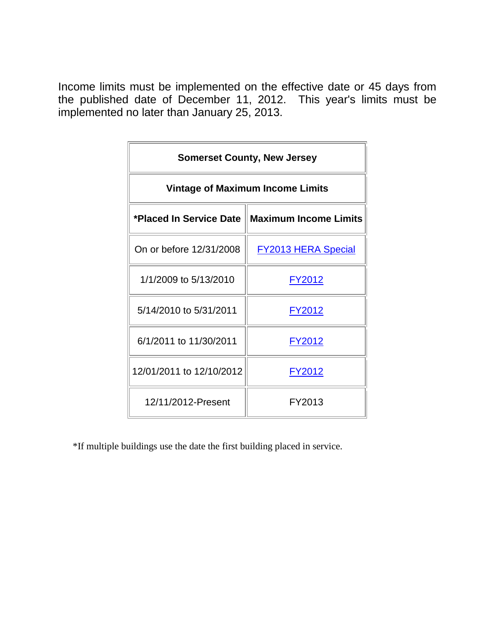| <b>Somerset County, New Jersey</b>      |                                                  |  |  |  |  |  |
|-----------------------------------------|--------------------------------------------------|--|--|--|--|--|
| <b>Vintage of Maximum Income Limits</b> |                                                  |  |  |  |  |  |
|                                         | *Placed In Service Date    Maximum Income Limits |  |  |  |  |  |
| On or before 12/31/2008                 | <b>FY2013 HERA Special</b>                       |  |  |  |  |  |
| 1/1/2009 to 5/13/2010                   | <u>FY2012</u>                                    |  |  |  |  |  |
| 5/14/2010 to 5/31/2011                  | FY2012                                           |  |  |  |  |  |
| 6/1/2011 to 11/30/2011                  | FY2012                                           |  |  |  |  |  |
| 12/01/2011 to 12/10/2012                | FY2012                                           |  |  |  |  |  |
| 12/11/2012-Present                      | FY2013                                           |  |  |  |  |  |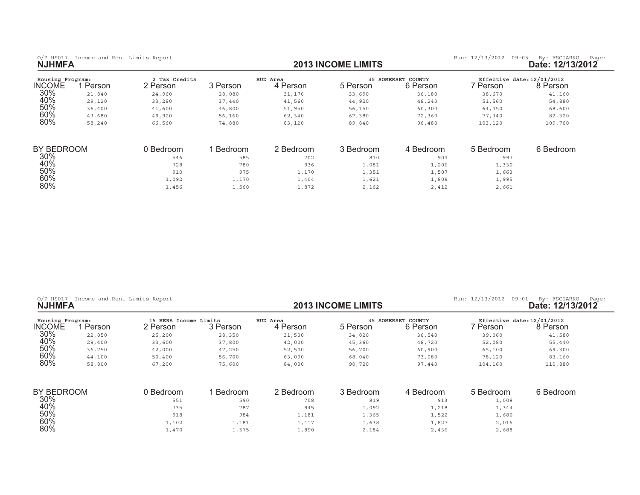$80\%$ 

0/P HS017 Income and Rent Limits Report **and Report and Report of the State: 12/13/2013 INCOME LIMITS <b>by:** FSCIARRO Page: 12/13/2012<br>**2013 INCOME LIMITS Date: 12/13/2012** 

| Housing Program:<br><b>INCOME</b> | Person | 2 Tax Credits<br>2 Person | 3 Person | HUD Area<br>4 Person | 5 Person  | <b>35 SOMERSET COUNTY</b><br>6 Person | Effective date: 12/01/2012<br>7 Person | 8 Person  |
|-----------------------------------|--------|---------------------------|----------|----------------------|-----------|---------------------------------------|----------------------------------------|-----------|
| 30%                               | 21,840 | 24,960                    | 28,080   | 31,170               | 33,690    | 36,180                                | 38,670                                 | 41,160    |
|                                   |        |                           |          |                      |           |                                       |                                        |           |
| 40%                               | 29,120 | 33,280                    | 37,440   | 41,560               | 44,920    | 48,240                                | 51,560                                 | 54,880    |
| 50%                               | 36,400 | 41,600                    | 46,800   | 51,950               | 56,150    | 60,300                                | 64,450                                 | 68,600    |
| 60%                               | 43,680 | 49,920                    | 56,160   | 62,340               | 67,380    | 72,360                                | 77,340                                 | 82,320    |
| 80%                               | 58,240 | 66,560                    | 74,880   | 83,120               | 89,840    | 96,480                                | 103,120                                | 109,760   |
| BY BEDROOM                        |        | 0 Bedroom                 | Bedroom  | 2 Bedroom            | 3 Bedroom | 4 Bedroom                             | 5 Bedroom                              | 6 Bedroom |
| 30%                               |        | 546                       | 585      | 702                  | 810       | 904                                   | 997                                    |           |
| 40%                               |        | 728                       | 780      | 936                  | 1,081     | 1,206                                 | 1,330                                  |           |
| 50%                               |        | 910                       | 975      | 1,170                | 1,351     | 1,507                                 | 1,663                                  |           |
| 60%                               |        | 1,092                     | 1,170    | 1,404                | 1,621     | 1,809                                 | 1,995                                  |           |
| 80%                               |        | 1,456                     | 1,560    | 1,872                | 2,162     | 2,412                                 | 2,661                                  |           |

| Income and Rent Limits Report<br>$O/P$ HS017<br><b>NJHMFA</b> |        |                                   |           |                      | <b>2013 INCOME LIMITS</b> |                                | Run: 12/13/2012<br>09:01               | By: FSCIARRO<br>Page:<br>Date: 12/13/2012 |
|---------------------------------------------------------------|--------|-----------------------------------|-----------|----------------------|---------------------------|--------------------------------|----------------------------------------|-------------------------------------------|
| Housing Program:<br>INCOME                                    | Person | 15 HERA Income Limits<br>2 Person | 3 Person  | HUD Area<br>4 Person | 5 Person                  | 35 SOMERSET COUNTY<br>6 Person | Effective date: 12/01/2012<br>7 Person | 8 Person                                  |
| 30%                                                           | 22,050 | 25,200                            | 28,350    | 31,500               | 34,020                    | 36,540                         | 39,060                                 | 41,580                                    |
| 40%                                                           | 29,400 | 33,600                            | 37,800    | 42,000               | 45,360                    | 48,720                         | 52,080                                 | 55,440                                    |
| 50%                                                           | 36,750 | 42,000                            | 47,250    | 52,500               | 56,700                    | 60,900                         | 65,100                                 | 69,300                                    |
| 60%                                                           | 44,100 | 50,400                            | 56,700    | 63,000               | 68,040                    | 73,080                         | 78,120                                 | 83,160                                    |
| 80%                                                           | 58,800 | 67,200                            | 75,600    | 84,000               | 90,720                    | 97,440                         | 104,160                                | 110,880                                   |
| BY BEDROOM                                                    |        | 0 Bedroom                         | 1 Bedroom | 2 Bedroom            | 3 Bedroom                 | 4 Bedroom                      | 5 Bedroom                              | 6 Bedroom                                 |
| $30\%$                                                        |        | 551                               | 590       | 708                  | 819                       | 913                            | 1,008                                  |                                           |
| 40%                                                           |        | 735                               | 787       | 945                  | 1,092                     | 1,218                          | 1,344                                  |                                           |
| 50%                                                           |        | 918                               | 984       | 1,181                | 1,365                     | 1,522                          | 1,680                                  |                                           |
| 60%                                                           |        | 1.102                             | 1.181     | 1.417                | 1.638                     | 1.827                          | 2.016                                  |                                           |

 $\frac{1}{102}$  ,  $\frac{1}{102}$  ,  $\frac{1}{103}$  ,  $\frac{1}{101}$  ,  $\frac{1}{101}$  ,  $\frac{1}{101}$  ,  $\frac{1}{101}$  ,  $\frac{1}{101}$  ,  $\frac{1}{101}$  ,  $\frac{1}{101}$  ,  $\frac{1}{101}$  ,  $\frac{1}{101}$  ,  $\frac{1}{101}$  ,  $\frac{1}{101}$  ,  $\frac{1}{101}$  ,  $\frac{1}{101}$ 

 $\frac{1}{40}$ ,  $\frac{1}{40}$ ,  $\frac{1}{40}$ ,  $\frac{1}{40}$ ,  $\frac{1}{40}$ ,  $\frac{1}{40}$ ,  $\frac{1}{40}$ ,  $\frac{1}{40}$ ,  $\frac{1}{40}$ ,  $\frac{1}{40}$ ,  $\frac{1}{40}$ ,  $\frac{1}{40}$ ,  $\frac{1}{40}$ ,  $\frac{1}{40}$ ,  $\frac{1}{40}$ ,  $\frac{1}{40}$ ,  $\frac{1}{40}$ ,  $\frac{1}{40}$ ,  $\frac{1$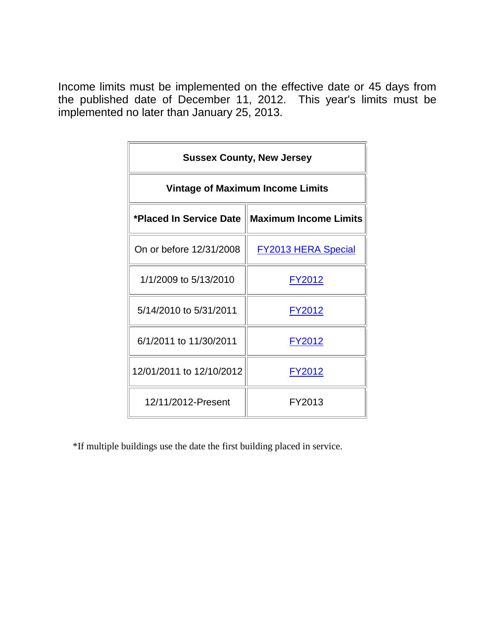| <b>Sussex County, New Jersey</b>        |                                                  |  |  |  |  |  |
|-----------------------------------------|--------------------------------------------------|--|--|--|--|--|
| <b>Vintage of Maximum Income Limits</b> |                                                  |  |  |  |  |  |
|                                         | *Placed In Service Date    Maximum Income Limits |  |  |  |  |  |
| On or before 12/31/2008                 | <b>FY2013 HERA Special</b>                       |  |  |  |  |  |
| 1/1/2009 to 5/13/2010                   | <u>FY2012</u>                                    |  |  |  |  |  |
| 5/14/2010 to 5/31/2011                  | FY2012                                           |  |  |  |  |  |
| 6/1/2011 to 11/30/2011                  | FY2012                                           |  |  |  |  |  |
| 12/01/2011 to 12/10/2012                | <u>FY2012</u>                                    |  |  |  |  |  |
| 12/11/2012-Present                      | FY2013                                           |  |  |  |  |  |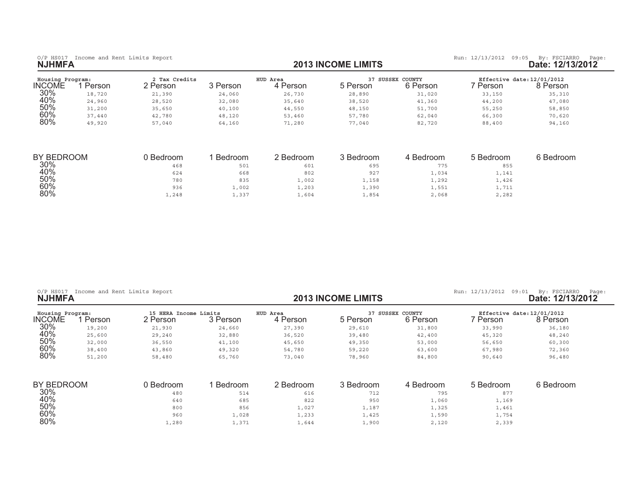$80\%$ 

0/P HS017 Income and Rent Limits Report **and Report and Report of the State: 12/13/2013 INCOME LIMITS <b>by:** FSCIARRO Page: 12/13/2012<br>**2013 INCOME LIMITS Date: 12/13/2012** 

| Housing Program:<br>INCOME | Person | 2 Tax Credits<br>2 Person | 3 Person | HUD Area<br>4 Person | 37<br>5 Person | SUSSEX COUNTY<br>6 Person | Person | Effective date: 12/01/2012<br>3 Person |
|----------------------------|--------|---------------------------|----------|----------------------|----------------|---------------------------|--------|----------------------------------------|
| 30%                        | 18,720 | 21,390                    | 24,060   | 26,730               | 28,890         | 31,020                    | 33,150 | 35,310                                 |
| 40%                        | 24,960 | 28,520                    | 32,080   | 35,640               | 38,520         | 41,360                    | 44,200 | 47,080                                 |
| 50%                        | 31,200 | 35,650                    | 40,100   | 44,550               | 48,150         | 51,700                    | 55,250 | 58,850                                 |
| 60%                        | 37,440 | 42,780                    | 48,120   | 53,460               | 57,780         | 62,040                    | 66,300 | 70,620                                 |
| 80%                        | 49,920 | 57,040                    | 64,160   | 71,280               | 77,040         | 82,720                    | 88,400 | 94,160                                 |

| BY BEDROOM | ) Bedroom | Bedroom | 2 Bedroom | 3 Bedroom | 4 Bedroom | 5 Bedroom | 6 Bedroom |
|------------|-----------|---------|-----------|-----------|-----------|-----------|-----------|
| 30%        | 468       | 501     | 601       | 695       | 775       | 855       |           |
| 40%        | 624       | 668     | 802       | 927       | 1,034     | 1,141     |           |
| 50%        | 780       | 835     | .,002     | 1,158     | 1,292     | 1,426     |           |
| 60%        | 936       | 1,002   | 1,203     | 1,390     | 1,551     | 1,711     |           |
| 80%        | 1,248     | 1,337   | 1,604     | 1,854     | 2,068     | 2,282     |           |

| <b>NJHMFA</b>    | O/P HS017 Income and Rent Limits Report |                       |          |           | <b>2013 INCOME LIMITS</b> |                  | Run: 12/13/2012<br>09:01   | By: FSCIARRO<br>Page:<br>Date: 12/13/2012 |
|------------------|-----------------------------------------|-----------------------|----------|-----------|---------------------------|------------------|----------------------------|-------------------------------------------|
| Housing Program: |                                         | 15 HERA Income Limits |          | HUD Area  |                           | 37 SUSSEX COUNTY | Effective date: 12/01/2012 |                                           |
| INCOME           | 1 Person                                | 2 Person              | 3 Person | 4 Person  | 5 Person                  | 6 Person         | 7 Person                   | 8 Person                                  |
| 30%              | 19,200                                  | 21,930                | 24,660   | 27,390    | 29,610                    | 31,800           | 33,990                     | 36,180                                    |
| 40%              | 25,600                                  | 29,240                | 32,880   | 36,520    | 39,480                    | 42,400           | 45,320                     | 48,240                                    |
| 50%              | 32,000                                  | 36,550                | 41,100   | 45,650    | 49,350                    | 53,000           | 56,650                     | 60,300                                    |
| 60%              | 38,400                                  | 43,860                | 49,320   | 54,780    | 59,220                    | 63,600           | 67,980                     | 72,360                                    |
| 80%              | 51,200                                  | 58,480                | 65,760   | 73,040    | 78,960                    | 84,800           | 90,640                     | 96,480                                    |
| BY BEDROOM       |                                         | 0 Bedroom             | Bedroom  | 2 Bedroom | 3 Bedroom                 | 4 Bedroom        | 5 Bedroom                  | 6 Bedroom                                 |
| 30%              |                                         | 480                   | 514      | 616       | 712                       | 795              | 877                        |                                           |
| 40%              |                                         | 640                   | 685      | 822       | 950                       | 1,060            | 1,169                      |                                           |
| 50%              |                                         | 800                   | 856      | 1,027     | 1,187                     | 1,325            | 1,461                      |                                           |
| 60%              |                                         | 960                   | 1.028    | 1.233     | 1.425                     | 1.590            | 1.754                      |                                           |

 $\frac{1}{20}$ , and the contract of the contract of  $\frac{1}{23}$  ,  $\frac{1}{233}$  ,  $\frac{1}{425}$  ,  $\frac{1}{1590}$  ,  $\frac{1}{1754}$ 

 $\frac{1}{2}$ ,  $\frac{1}{2}$ ,  $\frac{280}{1}$  ,  $\frac{1}{371}$  ,  $\frac{1}{644}$  ,  $\frac{1}{1}$ ,  $\frac{900}{2}$  ,  $\frac{2}{120}$  ,  $\frac{2}{339}$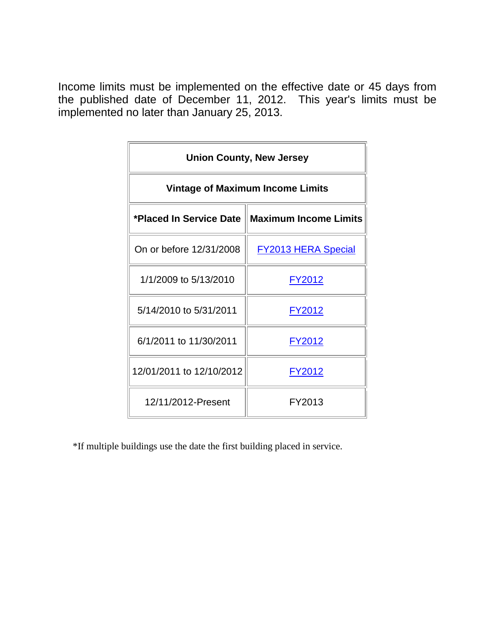| <b>Union County, New Jersey</b>         |                                                  |  |  |  |  |  |
|-----------------------------------------|--------------------------------------------------|--|--|--|--|--|
| <b>Vintage of Maximum Income Limits</b> |                                                  |  |  |  |  |  |
|                                         | *Placed In Service Date    Maximum Income Limits |  |  |  |  |  |
| On or before 12/31/2008                 | <b>FY2013 HERA Special</b>                       |  |  |  |  |  |
| 1/1/2009 to 5/13/2010                   | <u>FY2012</u>                                    |  |  |  |  |  |
| 5/14/2010 to 5/31/2011                  | FY2012                                           |  |  |  |  |  |
| 6/1/2011 to 11/30/2011                  | FY2012                                           |  |  |  |  |  |
| 12/01/2011 to 12/10/2012                | FY2012                                           |  |  |  |  |  |
| 12/11/2012-Present                      | FY2013                                           |  |  |  |  |  |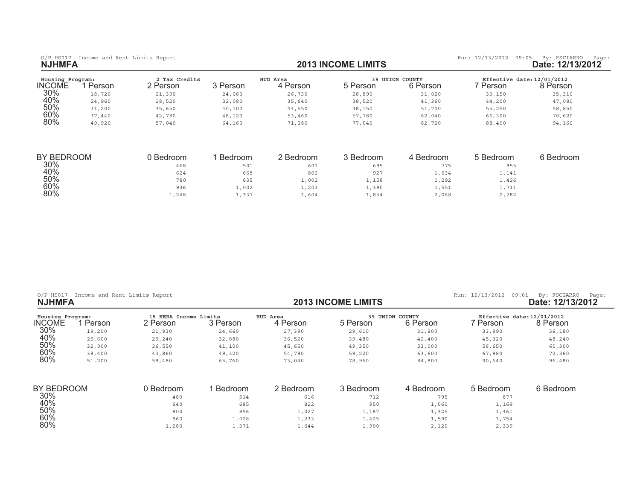$60%$ 

 $80\%$ 

| Housing Program:<br><b>INCOME</b> | Person | 2 Tax Credits<br>Person | 3 Person | HUD Area<br>4 Person | 5 Person | <b>39 UNION COUNTY</b><br>6 Person | Person | Effective date: 12/01/2012<br>8 Person |
|-----------------------------------|--------|-------------------------|----------|----------------------|----------|------------------------------------|--------|----------------------------------------|
| 30%                               | 18,720 | 21,390                  | 24,060   | 26,730               | 28,890   | 31,020                             | 33,150 | 35,310                                 |
| 40%                               | 24,960 | 28,520                  | 32,080   | 35,640               | 38,520   | 41,360                             | 44,200 | 47,080                                 |
| 50%                               | 31,200 | 35,650                  | 40,100   | 44,550               | 48,150   | 51,700                             | 55,250 | 58,850                                 |
| 60%                               | 37,440 | 42,780                  | 48,120   | 53,460               | 57,780   | 62,040                             | 66,300 | 70,620                                 |
| 80%                               | 49,920 | 57,040                  | 64,160   | 71,280               | 77,040   | 82,720                             | 88,400 | 94,160                                 |

| <b>BY BEDROOM</b> | l Bedroom | Bedroom | 2 Bedroom | 3 Bedroom | Bedroom - | 5 Bedroom | 6 Bedroom |
|-------------------|-----------|---------|-----------|-----------|-----------|-----------|-----------|
| 30%               | 468       | 501     | 601       | 695       | 775       | 855       |           |
| 40%               | 624       | 668     | 802       | 927       | 1,034     | 1,141     |           |
| 50%               | 780       | 835     | .,002     | 1,158     | 1,292     | 1,426     |           |
| 60%               | 936       | 1,002   | 1,203     | 1,390     | 1,551     | 1,711     |           |
| 80%               | 1,248     | 1,337   | 1,604     | 1,854     | 2,068     | 2,282     |           |

| O/P HS017 Income and Rent Limits Report<br><b>NJHMFA</b> |        |                                   |          |                      | <b>2013 INCOME LIMITS</b> |                             | Run: 12/13/2012<br>09:01               | By: FSCIARRO<br>Page:<br>Date: 12/13/2012 |
|----------------------------------------------------------|--------|-----------------------------------|----------|----------------------|---------------------------|-----------------------------|----------------------------------------|-------------------------------------------|
| Housing Program:<br>INCOME                               | Person | 15 HERA Income Limits<br>2 Person | 3 Person | HUD Area<br>4 Person | 5 Person                  | 39 UNION COUNTY<br>6 Person | Effective date: 12/01/2012<br>7 Person | 8 Person                                  |
| 30%                                                      | 19,200 | 21,930                            | 24,660   | 27,390               | 29,610                    | 31,800                      | 33,990                                 | 36,180                                    |
| 40%                                                      | 25,600 | 29,240                            | 32,880   | 36,520               | 39,480                    | 42,400                      | 45,320                                 | 48,240                                    |
| 50%                                                      | 32,000 | 36,550                            | 41,100   | 45,650               | 49,350                    | 53,000                      | 56,650                                 | 60,300                                    |
| 60%                                                      | 38,400 | 43,860                            | 49,320   | 54,780               | 59,220                    | 63,600                      | 67,980                                 | 72,360                                    |
| 80%                                                      | 51,200 | 58,480                            | 65,760   | 73,040               | 78,960                    | 84,800                      | 90,640                                 | 96,480                                    |
| BY BEDROOM                                               |        | 0 Bedroom                         | Bedroom  | 2 Bedroom            | 3 Bedroom                 | 4 Bedroom                   | 5 Bedroom                              | 6 Bedroom                                 |
| $30\%$                                                   |        | 480                               | 514      | 616                  | 712                       | 795                         | 877                                    |                                           |
| 40%                                                      |        | 640                               | 685      | 822                  | 950                       | 1,060                       | 1,169                                  |                                           |
| 50%                                                      |        | 800                               | 856      | 1,027                | 1,187                     | 1,325                       | 1,461                                  |                                           |

 $\frac{1}{20}$ , and the contract of the contract of  $\frac{1}{23}$  ,  $\frac{1}{233}$  ,  $\frac{1}{425}$  ,  $\frac{1}{1590}$  ,  $\frac{1}{1754}$ 

 $\frac{1}{2}$ ,  $\frac{1}{2}$ ,  $\frac{280}{1}$  ,  $\frac{1}{371}$  ,  $\frac{1}{644}$  ,  $\frac{1}{1}$ ,  $\frac{900}{2}$  ,  $\frac{2}{120}$  ,  $\frac{2}{339}$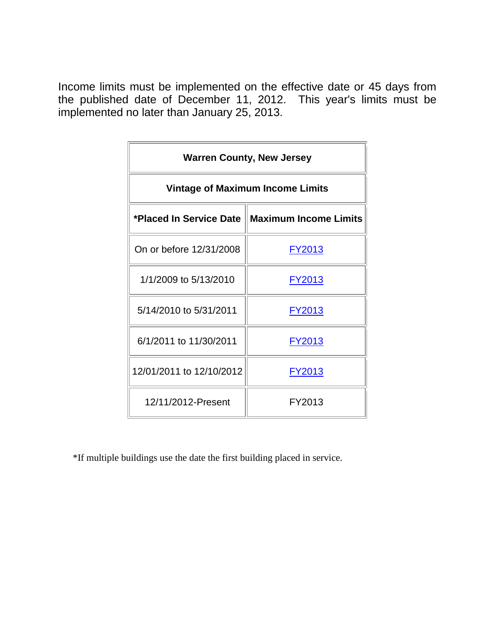| <b>Warren County, New Jersey</b>                 |               |  |  |  |  |  |
|--------------------------------------------------|---------------|--|--|--|--|--|
| <b>Vintage of Maximum Income Limits</b>          |               |  |  |  |  |  |
| *Placed In Service Date    Maximum Income Limits |               |  |  |  |  |  |
| On or before 12/31/2008                          | FY2013        |  |  |  |  |  |
| 1/1/2009 to 5/13/2010                            | <u>FY2013</u> |  |  |  |  |  |
| 5/14/2010 to 5/31/2011                           | FY2013        |  |  |  |  |  |
| 6/1/2011 to 11/30/2011                           | FY2013        |  |  |  |  |  |
| 12/01/2011 to 12/10/2012                         | FY2013        |  |  |  |  |  |
| 12/11/2012-Present                               | FY2013        |  |  |  |  |  |